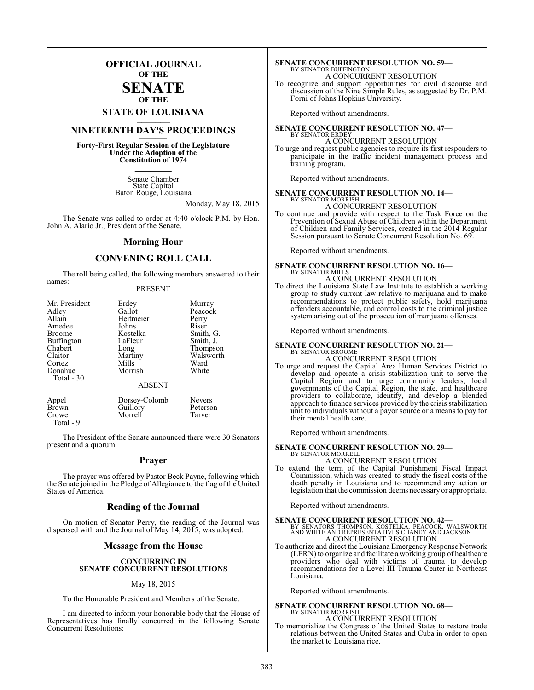### **OFFICIAL JOURNAL OF THE**

#### **SENATE OF THE**

# **STATE OF LOUISIANA \_\_\_\_\_\_\_**

### **NINETEENTH DAY'S PROCEEDINGS \_\_\_\_\_\_\_**

**Forty-First Regular Session of the Legislature Under the Adoption of the Constitution of 1974 \_\_\_\_\_\_\_**

> Senate Chamber State Capitol Baton Rouge, Louisiana

> > Monday, May 18, 2015

The Senate was called to order at 4:40 o'clock P.M. by Hon. John A. Alario Jr., President of the Senate.

#### **Morning Hour**

### **CONVENING ROLL CALL**

The roll being called, the following members answered to their names:

#### PRESENT

| Mr. President | Erdey         | Murray    |
|---------------|---------------|-----------|
| Adley         | Gallot        | Peacock   |
| Allain        | Heitmeier     | Perry     |
| Amedee        | Johns         | Riser     |
| <b>Broome</b> | Kostelka      | Smith, G. |
| Buffington    | LaFleur       | Smith, J. |
| Chabert       | Long          | Thompson  |
| Claitor       | Martiny       | Walsworth |
| Cortez        | Mills         | Ward      |
| Donahue       | Morrish       | White     |
| Total - 30    |               |           |
|               | <b>ABSENT</b> |           |
| Appel         | Dorsey-Colomb | Nevers    |
| Brown         | Guillory      | Peterson  |
| Crowe         | Morrell       | Tarver    |

The President of the Senate announced there were 30 Senators present and a quorum.

Total - 9

#### **Prayer**

The prayer was offered by Pastor Beck Payne, following which the Senate joined in the Pledge of Allegiance to the flag of the United States of America.

#### **Reading of the Journal**

On motion of Senator Perry, the reading of the Journal was dispensed with and the Journal of May 14, 2015, was adopted.

### **Message from the House**

#### **CONCURRING IN SENATE CONCURRENT RESOLUTIONS**

#### May 18, 2015

To the Honorable President and Members of the Senate:

I am directed to inform your honorable body that the House of Representatives has finally concurred in the following Senate Concurrent Resolutions:

### **SENATE CONCURRENT RESOLUTION NO. 59—** BY SENATOR BUFFINGTON A CONCURRENT RESOLUTION

To recognize and support opportunities for civil discourse and discussion of the Nine Simple Rules, as suggested by Dr. P.M. Forni of Johns Hopkins University.

Reported without amendments.

### **SENATE CONCURRENT RESOLUTION NO. 47—** BY SENATOR ERDEY A CONCURRENT RESOLUTION

To urge and request public agencies to require its first responders to participate in the traffic incident management process and training program.

Reported without amendments.

#### **SENATE CONCURRENT RESOLUTION NO. 14—** BY SENATOR MORRISH

A CONCURRENT RESOLUTION

To continue and provide with respect to the Task Force on the Prevention of Sexual Abuse of Children within the Department of Children and Family Services, created in the 2014 Regular Session pursuant to Senate Concurrent Resolution No. 69.

Reported without amendments.

#### **SENATE CONCURRENT RESOLUTION NO. 16—** BY SENATOR MILLS

A CONCURRENT RESOLUTION

To direct the Louisiana State Law Institute to establish a working group to study current law relative to marijuana and to make recommendations to protect public safety, hold marijuana offenders accountable, and control costs to the criminal justice system arising out of the prosecution of marijuana offenses.

Reported without amendments.

#### **SENATE CONCURRENT RESOLUTION NO. 21—** BY SENATOR BROOME

A CONCURRENT RESOLUTION

To urge and request the Capital Area Human Services District to develop and operate a crisis stabilization unit to serve the Capital Region and to urge community leaders, local governments of the Capital Region, the state, and healthcare providers to collaborate, identify, and develop a blended approach to finance services provided by the crisis stabilization unit to individuals without a payor source or a means to pay for their mental health care.

Reported without amendments.

#### **SENATE CONCURRENT RESOLUTION NO. 29—**

- BY SENATOR MORRELL A CONCURRENT RESOLUTION
- To extend the term of the Capital Punishment Fiscal Impact Commission, which was created to study the fiscal costs of the death penalty in Louisiana and to recommend any action or legislation that the commission deems necessary or appropriate.

Reported without amendments.

**SENATE CONCURRENT RESOLUTION NO. 42—**<br>BY SENATORS THOMPSON, KOSTELKA, PEACOCK, WALSWORTH<br>AND WHITE AND REPRESENTATIVES CHANEY AND JACKSON<br>A CONCURRENT RESOLUTION

To authorize and direct the Louisiana Emergency Response Network (LERN) to organize and facilitate a working group of healthcare providers who deal with victims of trauma to develop recommendations for a Level III Trauma Center in Northeast Louisiana.

Reported without amendments.

#### **SENATE CONCURRENT RESOLUTION NO. 68—** BY SENATOR MORRISH

A CONCURRENT RESOLUTION

To memorialize the Congress of the United States to restore trade relations between the United States and Cuba in order to open the market to Louisiana rice.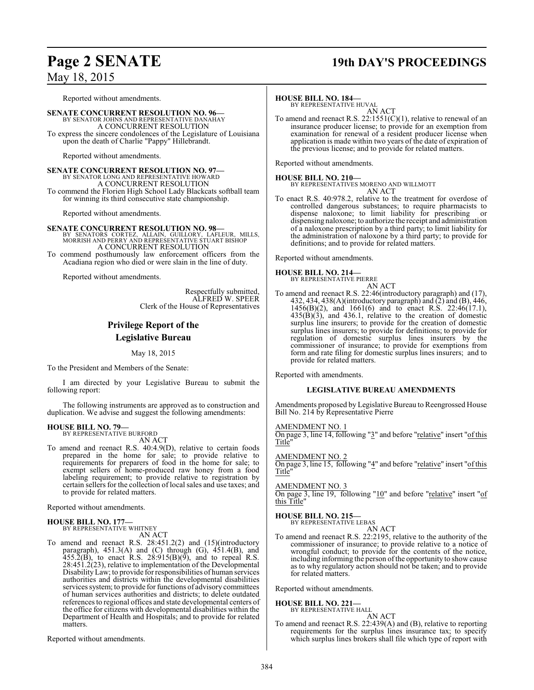# **Page 2 SENATE 19th DAY'S PROCEEDINGS**

May 18, 2015

Reported without amendments.

**SENATE CONCURRENT RESOLUTION NO. 96—** BY SENATOR JOHNS AND REPRESENTATIVE DANAHAY A CONCURRENT RESOLUTION To express the sincere condolences of the Legislature of Louisiana upon the death of Charlie "Pappy" Hillebrandt.

Reported without amendments.

**SENATE CONCURRENT RESOLUTION NO. 97—** BY SENATOR LONG AND REPRESENTATIVE HOWARD A CONCURRENT RESOLUTION To commend the Florien High School Lady Blackcats softball team for winning its third consecutive state championship.

Reported without amendments.

**SENATE CONCURRENT RESOLUTION NO. 98—**<br>BY SENATORS CORTEZ, ALLAIN, GUILLORY, LAFLEUR, MILLS,<br>MORRISH AND PERRY AND REPRESENTATIVE STUART BISHOP A CONCURRENT RESOLUTION

To commend posthumously law enforcement officers from the Acadiana region who died or were slain in the line of duty.

Reported without amendments.

Respectfully submitted, ALFRED W. SPEER Clerk of the House of Representatives

### **Privilege Report of the Legislative Bureau**

May 18, 2015

To the President and Members of the Senate:

I am directed by your Legislative Bureau to submit the following report:

The following instruments are approved as to construction and duplication. We advise and suggest the following amendments:

### **HOUSE BILL NO. 79—**

BY REPRESENTATIVE BURFORD AN ACT

To amend and reenact R.S. 40:4.9(D), relative to certain foods prepared in the home for sale; to provide relative to requirements for preparers of food in the home for sale; to exempt sellers of home-produced raw honey from a food labeling requirement; to provide relative to registration by certain sellers for the collection of local sales and use taxes; and to provide for related matters.

Reported without amendments.

#### **HOUSE BILL NO. 177—** BY REPRESENTATIVE WHITNEY

AN ACT

To amend and reenact R.S. 28:451.2(2) and (15)(introductory paragraph), 451.3(A) and (C) through (G), 451.4(B), and  $455.\overline{2}$ (B), to enact R.S. 28:915(B)(9), and to repeal R.S. 28:451.2(23), relative to implementation of the Developmental DisabilityLaw; to provide for responsibilities of human services authorities and districts within the developmental disabilities services system; to provide for functions of advisory committees of human services authorities and districts; to delete outdated references to regional offices and state developmental centers of the office for citizens with developmental disabilities within the Department of Health and Hospitals; and to provide for related matters.

Reported without amendments.

#### **HOUSE BILL NO. 184—**

BY REPRESENTATIVE HUVAL AN ACT

To amend and reenact R.S. 22:1551(C)(1), relative to renewal of an insurance producer license; to provide for an exemption from examination for renewal of a resident producer license when application is made within two years of the date of expiration of the previous license; and to provide for related matters.

Reported without amendments.

**HOUSE BILL NO. 210—** BY REPRESENTATIVES MORENO AND WILLMOTT AN ACT

To enact R.S. 40:978.2, relative to the treatment for overdose of controlled dangerous substances; to require pharmacists to dispense naloxone; to limit liability for prescribing or dispensing naloxone; to authorize the receipt and administration of a naloxone prescription by a third party; to limit liability for the administration of naloxone by a third party; to provide for definitions; and to provide for related matters.

Reported without amendments.

**HOUSE BILL NO. 214—** BY REPRESENTATIVE PIERRE

AN ACT

To amend and reenact R.S. 22:46(introductory paragraph) and (17), 432, 434, 438(A)(introductory paragraph) and (2) and (B), 446, 1456(B)(2), and 1661(6) and to enact R.S. 22:46(17.1),  $435(B)(3)$ , and  $436.1$ , relative to the creation of domestic surplus line insurers; to provide for the creation of domestic surplus lines insurers; to provide for definitions; to provide for regulation of domestic surplus lines insurers by the commissioner of insurance; to provide for exemptions from form and rate filing for domestic surplus lines insurers; and to provide for related matters.

Reported with amendments.

#### **LEGISLATIVE BUREAU AMENDMENTS**

Amendments proposed by Legislative Bureau to Reengrossed House Bill No. 214 by Representative Pierre

#### AMENDMENT NO. 1

On page 3, line 14, following "3" and before "relative" insert "of this Title"

AMENDMENT NO. 2

On page 3, line 15, following "4" and before "relative" insert "of this Title"

#### AMENDMENT NO. 3

On page 3, line 19, following "10" and before "relative" insert "of this Title"

# **HOUSE BILL NO. 215—** BY REPRESENTATIVE LEBAS

AN ACT

To amend and reenact R.S. 22:2195, relative to the authority of the commissioner of insurance; to provide relative to a notice of wrongful conduct; to provide for the contents of the notice, including informing the person of the opportunity to show cause as to why regulatory action should not be taken; and to provide for related matters.

Reported without amendments.

### **HOUSE BILL NO. 221—** BY REPRESENTATIVE HALL

AN ACT

To amend and reenact R.S. 22:439(A) and (B), relative to reporting requirements for the surplus lines insurance tax; to specify which surplus lines brokers shall file which type of report with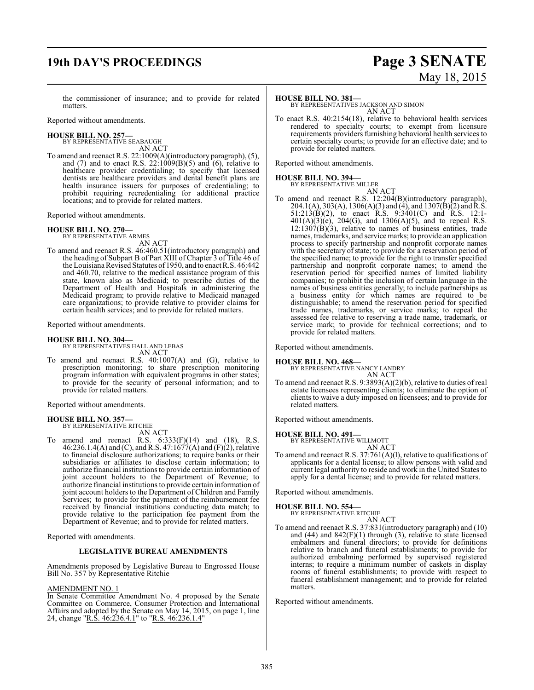# **19th DAY'S PROCEEDINGS Page 3 SENATE**

# May 18, 2015

the commissioner of insurance; and to provide for related matters.

Reported without amendments.

#### **HOUSE BILL NO. 257—**

BY REPRESENTATIVE SEABAUGH AN ACT

To amend and reenact R.S. 22:1009(A)(introductory paragraph), (5), and (7) and to enact R.S.  $22:1009(B)(5)$  and  $(6)$ , relative to healthcare provider credentialing; to specify that licensed dentists are healthcare providers and dental benefit plans are health insurance issuers for purposes of credentialing; to prohibit requiring recredentialing for additional practice locations; and to provide for related matters.

Reported without amendments.

#### **HOUSE BILL NO. 270—**

BY REPRESENTATIVE ARMES AN ACT

To amend and reenact R.S. 46:460.51(introductory paragraph) and the heading of Subpart B of Part XIII of Chapter 3 of Title 46 of the Louisiana Revised Statutes of 1950, and to enact R.S. 46:442 and 460.70, relative to the medical assistance program of this state, known also as Medicaid; to prescribe duties of the Department of Health and Hospitals in administering the Medicaid program; to provide relative to Medicaid managed care organizations; to provide relative to provider claims for certain health services; and to provide for related matters.

Reported without amendments.

# **HOUSE BILL NO. 304—** BY REPRESENTATIVES HALL AND LEBAS

AN ACT To amend and reenact R.S. 40:1007(A) and (G), relative to prescription monitoring; to share prescription monitoring program information with equivalent programs in other states; to provide for the security of personal information; and to provide for related matters.

Reported without amendments.

# **HOUSE BILL NO. 357—** BY REPRESENTATIVE RITCHIE

AN ACT To amend and reenact R.S.  $6:333(F)(14)$  and  $(18)$ , R.S. 46:236.1.4(A) and (C), and R.S. 47:1677(A) and (F)(2), relative to financial disclosure authorizations; to require banks or their subsidiaries or affiliates to disclose certain information; to authorize financial institutions to provide certain information of joint account holders to the Department of Revenue; to authorize financial institutionsto provide certain information of joint account holders to the Department of Children and Family Services; to provide for the payment of the reimbursement fee received by financial institutions conducting data match; to provide relative to the participation fee payment from the Department of Revenue; and to provide for related matters.

Reported with amendments.

#### **LEGISLATIVE BUREAU AMENDMENTS**

Amendments proposed by Legislative Bureau to Engrossed House Bill No. 357 by Representative Ritchie

#### AMENDMENT NO. 1

In Senate Committee Amendment No. 4 proposed by the Senate Committee on Commerce, Consumer Protection and International Affairs and adopted by the Senate on May 14, 2015, on page 1, line 24, change "R.S. 46:236.4.1" to "R.S. 46:236.1.4"

#### **HOUSE BILL NO. 381—**

BY REPRESENTATIVES JACKSON AND SIMON AN ACT

To enact R.S. 40:2154(18), relative to behavioral health services rendered to specialty courts; to exempt from licensure requirements providers furnishing behavioral health services to certain specialty courts; to provide for an effective date; and to provide for related matters.

Reported without amendments.

# **HOUSE BILL NO. 394—** BY REPRESENTATIVE MILLER

AN ACT To amend and reenact R.S. 12:204(B)(introductory paragraph), 204.1(A), 303(A), 1306(A)(3) and (4), and 1307(B)(2) and R.S. 51:213(B)(2), to enact R.S. 9:3401(C) and R.S. 12:1-  $401(A)(3)(e)$ , 204(G), and 1306(A)(5), and to repeal R.S.  $12:1307(B)(3)$ , relative to names of business entities, trade names, trademarks, and service marks; to provide an application process to specify partnership and nonprofit corporate names with the secretary of state; to provide for a reservation period of the specified name; to provide for the right to transfer specified partnership and nonprofit corporate names; to amend the reservation period for specified names of limited liability companies; to prohibit the inclusion of certain language in the names of business entities generally; to include partnerships as a business entity for which names are required to be distinguishable; to amend the reservation period for specified trade names, trademarks, or service marks; to repeal the assessed fee relative to reserving a trade name, trademark, or service mark; to provide for technical corrections; and to provide for related matters.

Reported without amendments.

**HOUSE BILL NO. 468—** BY REPRESENTATIVE NANCY LANDRY

AN ACT To amend and reenact R.S. 9:3893(A)(2)(b), relative to duties of real estate licensees representing clients; to eliminate the option of clients to waive a duty imposed on licensees; and to provide for related matters.

Reported without amendments.

#### **HOUSE BILL NO. 491—**

BY REPRESENTATIVE WILLMOTT

AN ACT To amend and reenact R.S. 37:761(A)(l), relative to qualifications of applicants for a dental license; to allow persons with valid and current legal authority to reside and work in the United States to apply for a dental license; and to provide for related matters.

Reported without amendments.

# **HOUSE BILL NO. 554—** BY REPRESENTATIVE RITCHIE

- AN ACT
- To amend and reenact R.S. 37:831(introductory paragraph) and (10) and  $(44)$  and  $842(F)(1)$  through  $(3)$ , relative to state licensed embalmers and funeral directors; to provide for definitions relative to branch and funeral establishments; to provide for authorized embalming performed by supervised registered interns; to require a minimum number of caskets in display rooms of funeral establishments; to provide with respect to funeral establishment management; and to provide for related matters.

Reported without amendments.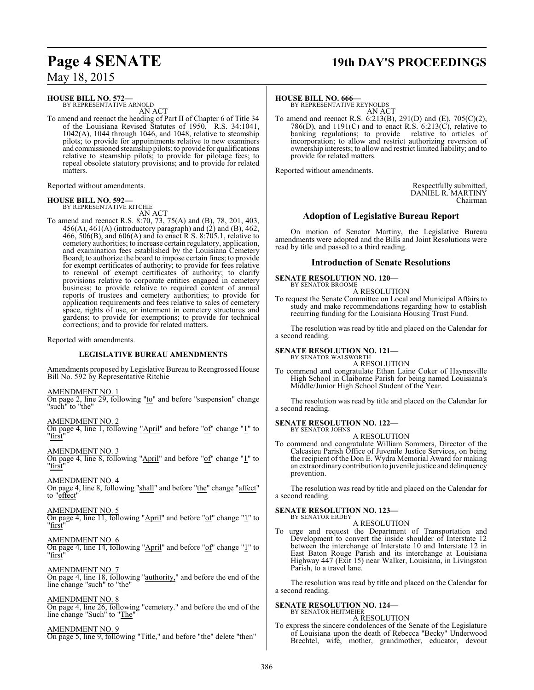### May 18, 2015

#### **HOUSE BILL NO. 572—**

BY REPRESENTATIVE ARNOLD AN ACT

To amend and reenact the heading of Part II of Chapter 6 of Title 34 of the Louisiana Revised Statutes of 1950, R.S. 34:1041, 1042(A), 1044 through 1046, and 1048, relative to steamship pilots; to provide for appointments relative to new examiners and commissioned steamship pilots; to provide for qualifications relative to steamship pilots; to provide for pilotage fees; to repeal obsolete statutory provisions; and to provide for related matters.

Reported without amendments.

### **HOUSE BILL NO. 592—**

BY REPRESENTATIVE RITCHIE AN ACT

To amend and reenact R.S. 8:70, 73, 75(A) and (B), 78, 201, 403,  $456(A)$ ,  $461(A)$  (introductory paragraph) and  $(2)$  and  $(B)$ ,  $462$ , 466, 506(B), and 606(A) and to enact R.S. 8:705.1, relative to cemetery authorities; to increase certain regulatory, application, and examination fees established by the Louisiana Cemetery Board; to authorize the board to impose certain fines; to provide for exempt certificates of authority; to provide for fees relative to renewal of exempt certificates of authority; to clarify provisions relative to corporate entities engaged in cemetery business; to provide relative to required content of annual reports of trustees and cemetery authorities; to provide for application requirements and fees relative to sales of cemetery space, rights of use, or interment in cemetery structures and gardens; to provide for exemptions; to provide for technical corrections; and to provide for related matters.

Reported with amendments.

#### **LEGISLATIVE BUREAU AMENDMENTS**

Amendments proposed by Legislative Bureau to Reengrossed House Bill No. 592 by Representative Ritchie

AMENDMENT NO. 1

On page 2, line 29, following "to" and before "suspension" change "such" to "the"

AMENDMENT NO. 2

On page 4, line 1, following "April" and before "of" change "1" to "first"

AMENDMENT NO. 3 On page 4, line 8, following "April" and before "of" change "1" to "first"

AMENDMENT NO. 4 On page 4, line 8, following "shall" and before "the" change "affect"

to "effect"

AMENDMENT NO. 5 On page 4, line 11, following "April" and before "of" change "1" to

"first"

AMENDMENT NO. 6

On page 4, line 14, following "April" and before "of" change "1" to "first"

AMENDMENT NO. 7 On page 4, line 18, following "authority," and before the end of the line change "such" to "the"

AMENDMENT NO. 8

On page 4, line 26, following "cemetery." and before the end of the line change "Such" to "The"

AMENDMENT NO. 9 On page 5, line 9, following "Title," and before "the" delete "then"

### **Page 4 SENATE 19th DAY'S PROCEEDINGS**

#### **HOUSE BILL NO. 666—**

BY REPRESENTATIVE REYNOLDS AN ACT

To amend and reenact R.S. 6:213(B), 291(D) and (E), 705(C)(2), 786(D), and 1191(C) and to enact R.S.  $6:213(\text{C})$ , relative to banking regulations; to provide relative to articles of banking regulations; to provide incorporation; to allow and restrict authorizing reversion of ownership interests; to allow and restrict limited liability; and to provide for related matters.

Reported without amendments.

Respectfully submitted, DANIEL R. MARTINY Chairman

### **Adoption of Legislative Bureau Report**

On motion of Senator Martiny, the Legislative Bureau amendments were adopted and the Bills and Joint Resolutions were read by title and passed to a third reading.

### **Introduction of Senate Resolutions**

#### **SENATE RESOLUTION NO. 120—** BY SENATOR BROOME

A RESOLUTION

To request the Senate Committee on Local and Municipal Affairs to study and make recommendations regarding how to establish recurring funding for the Louisiana Housing Trust Fund.

The resolution was read by title and placed on the Calendar for a second reading.

#### **SENATE RESOLUTION NO. 121—** BY SENATOR WALSWORTH

A RESOLUTION

To commend and congratulate Ethan Laine Coker of Haynesville High School in Claiborne Parish for being named Louisiana's Middle/Junior High School Student of the Year.

The resolution was read by title and placed on the Calendar for a second reading.

#### **SENATE RESOLUTION NO. 122—** BY SENATOR JOHNS

A RESOLUTION

To commend and congratulate William Sommers, Director of the Calcasieu Parish Office of Juvenile Justice Services, on being the recipient of the Don E. Wydra Memorial Award for making an extraordinarycontribution to juvenile justice and delinquency prevention.

The resolution was read by title and placed on the Calendar for a second reading.

#### **SENATE RESOLUTION NO. 123—** BY SENATOR ERDEY

A RESOLUTION

To urge and request the Department of Transportation and Development to convert the inside shoulder of Interstate 12 between the interchange of Interstate 10 and Interstate 12 in East Baton Rouge Parish and its interchange at Louisiana Highway 447 (Exit 15) near Walker, Louisiana, in Livingston Parish, to a travel lane.

The resolution was read by title and placed on the Calendar for a second reading.

#### **SENATE RESOLUTION NO. 124—**

#### BY SENATOR HEITMEIER A RESOLUTION

To express the sincere condolences of the Senate of the Legislature of Louisiana upon the death of Rebecca "Becky" Underwood Brechtel, wife, mother, grandmother, educator, devout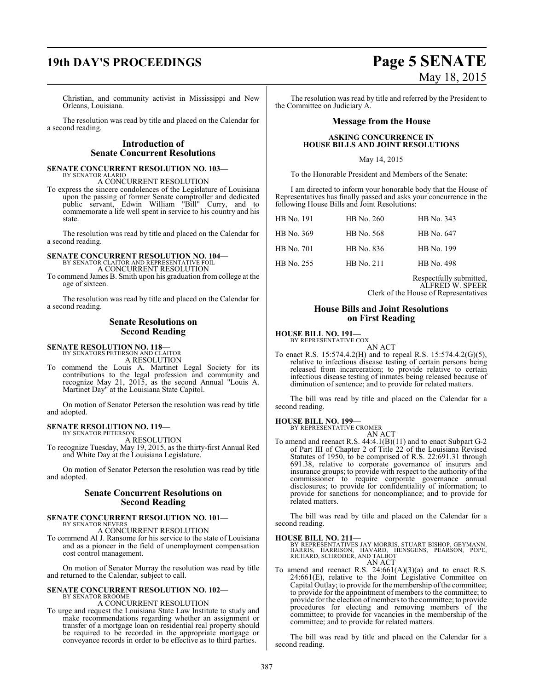# **19th DAY'S PROCEEDINGS Page 5 SENATE**

Christian, and community activist in Mississippi and New Orleans, Louisiana.

The resolution was read by title and placed on the Calendar for a second reading.

### **Introduction of Senate Concurrent Resolutions**

#### **SENATE CONCURRENT RESOLUTION NO. 103—** BY SENATOR ALARIO

A CONCURRENT RESOLUTION

To express the sincere condolences of the Legislature of Louisiana upon the passing of former Senate comptroller and dedicated public servant, Edwin William "Bill" Curry, and to commemorate a life well spent in service to his country and his state.

The resolution was read by title and placed on the Calendar for a second reading.

# **SENATE CONCURRENT RESOLUTION NO. 104—** BY SENATOR CLAITOR AND REPRESENTATIVE FOIL

A CONCURRENT RESOLUTION

To commend James B. Smith upon his graduation from college at the age of sixteen.

The resolution was read by title and placed on the Calendar for a second reading.

#### **Senate Resolutions on Second Reading**

**SENATE RESOLUTION NO. 118—**

BY SENATORS PETERSON AND CLAITOR A RESOLUTION

To commend the Louis A. Martinet Legal Society for its contributions to the legal profession and community and recognize May 21, 2015, as the second Annual "Louis A. Martinet Day" at the Louisiana State Capitol.

On motion of Senator Peterson the resolution was read by title and adopted.

# **SENATE RESOLUTION NO. 119—** BY SENATOR PETERSON

A RESOLUTION

To recognize Tuesday, May 19, 2015, as the thirty-first Annual Red and White Day at the Louisiana Legislature.

On motion of Senator Peterson the resolution was read by title and adopted.

#### **Senate Concurrent Resolutions on Second Reading**

#### **SENATE CONCURRENT RESOLUTION NO. 101—** BY SENATOR NEVERS

A CONCURRENT RESOLUTION

To commend Al J. Ransome for his service to the state of Louisiana and as a pioneer in the field of unemployment compensation cost control management.

On motion of Senator Murray the resolution was read by title and returned to the Calendar, subject to call.

# **SENATE CONCURRENT RESOLUTION NO. 102—** BY SENATOR BROOME

#### A CONCURRENT RESOLUTION

To urge and request the Louisiana State Law Institute to study and make recommendations regarding whether an assignment or transfer of a mortgage loan on residential real property should be required to be recorded in the appropriate mortgage or conveyance records in order to be effective as to third parties.

# May 18, 2015

The resolution was read by title and referred by the President to the Committee on Judiciary A.

#### **Message from the House**

#### **ASKING CONCURRENCE IN HOUSE BILLS AND JOINT RESOLUTIONS**

May 14, 2015

To the Honorable President and Members of the Senate:

I am directed to inform your honorable body that the House of Representatives has finally passed and asks your concurrence in the following House Bills and Joint Resolutions:

| HB No. 191 | HB No. 260 | HB No. 343 |
|------------|------------|------------|
| HB No. 369 | HB No. 568 | HB No. 647 |
| HB No. 701 | HB No. 836 | HB No. 199 |
| HB No. 255 | HB No. 211 | HB No. 498 |

Respectfully submitted, ALFRED W. SPEER Clerk of the House of Representatives

#### **House Bills and Joint Resolutions on First Reading**

**HOUSE BILL NO. 191—** BY REPRESENTATIVE COX

AN ACT

To enact R.S. 15:574.4.2(H) and to repeal R.S. 15:574.4.2(G)(5), relative to infectious disease testing of certain persons being released from incarceration; to provide relative to certain infectious disease testing of inmates being released because of diminution of sentence; and to provide for related matters.

The bill was read by title and placed on the Calendar for a second reading.

#### **HOUSE BILL NO. 199—**

BY REPRESENTATIVE CROMER

- AN ACT
- To amend and reenact R.S. 44:4.1(B)(11) and to enact Subpart G-2 of Part III of Chapter 2 of Title 22 of the Louisiana Revised Statutes of 1950, to be comprised of R.S. 22:691.31 through 691.38, relative to corporate governance of insurers and insurance groups; to provide with respect to the authority of the commissioner to require corporate governance annual disclosures; to provide for confidentiality of information; to provide for sanctions for noncompliance; and to provide for related matters.

The bill was read by title and placed on the Calendar for a second reading.

#### **HOUSE BILL NO. 211—**

BY REPRESENTATIVES JAY MORRIS, STUART BISHOP, GEYMANN,<br>HARRIS, HARRISON, HAVARD, HENSGENS, PEARSON, POPE,<br>RICHARD, SCHRODER, AND TALBOT AN ACT

To amend and reenact R.S.  $24:661(A)(3)(a)$  and to enact R.S. 24:661(E), relative to the Joint Legislative Committee on Capital Outlay; to provide for the membership of the committee; to provide for the appointment of members to the committee; to provide for the election of members to the committee; to provide procedures for electing and removing members of the committee; to provide for vacancies in the membership of the committee; and to provide for related matters.

The bill was read by title and placed on the Calendar for a second reading.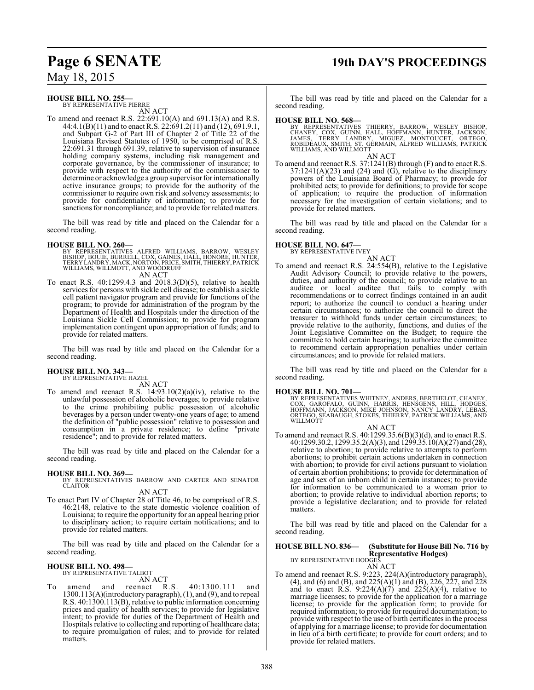# **Page 6 SENATE 19th DAY'S PROCEEDINGS**

May 18, 2015

#### **HOUSE BILL NO. 255—**

BY REPRESENTATIVE PIERRE AN ACT

To amend and reenact R.S. 22:691.10(A) and 691.13(A) and R.S. 44:4.1(B)(11) and to enact R.S. 22:691.2(11) and (12), 691.9.1, and Subpart G-2 of Part III of Chapter 2 of Title 22 of the Louisiana Revised Statutes of 1950, to be comprised of R.S. 22:691.31 through 691.39, relative to supervision of insurance holding company systems, including risk management and corporate governance, by the commissioner of insurance; to provide with respect to the authority of the commissioner to determine or acknowledge a group supervisor for internationally active insurance groups; to provide for the authority of the commissioner to require own risk and solvency assessments; to provide for confidentiality of information; to provide for sanctions for noncompliance; and to provide for related matters.

The bill was read by title and placed on the Calendar for a second reading.

#### **HOUSE BILL NO. 260—**

- BY REPRESENTATIVES ALFRED WILLIAMS, BARROW, WESLEY<br>BISHOP, BOUIE, BURRELL, COX, GAINES, HALL, HONORE, HUNTER,<br>TERRY LANDRY, MACK,NORTON, PRICE, SMITH, THIERRY, PATRICK WILLIAMS, WILLMOTT, AND WOODRUFF AN ACT
- To enact R.S. 40:1299.4.3 and 2018.3(D)(5), relative to health services for persons with sickle cell disease; to establish a sickle cell patient navigator program and provide for functions of the program; to provide for administration of the program by the Department of Health and Hospitals under the direction of the Louisiana Sickle Cell Commission; to provide for program implementation contingent upon appropriation of funds; and to provide for related matters.

The bill was read by title and placed on the Calendar for a second reading.

#### **HOUSE BILL NO. 343—** BY REPRESENTATIVE HAZEL

AN ACT

To amend and reenact R.S. 14:93.10(2)(a)(iv), relative to the unlawful possession of alcoholic beverages; to provide relative to the crime prohibiting public possession of alcoholic beverages by a person under twenty-one years of age; to amend the definition of "public possession" relative to possession and consumption in a private residence; to define "private residence"; and to provide for related matters.

The bill was read by title and placed on the Calendar for a second reading.

#### **HOUSE BILL NO. 369—**

BY REPRESENTATIVES BARROW AND CARTER AND SENATOR CLAITOR

AN ACT

To enact Part IV of Chapter 28 of Title 46, to be comprised of R.S. 46:2148, relative to the state domestic violence coalition of Louisiana; to require the opportunity for an appeal hearing prior to disciplinary action; to require certain notifications; and to provide for related matters.

The bill was read by title and placed on the Calendar for a second reading.

#### **HOUSE BILL NO. 498—** BY REPRESENTATIVE TALBOT

AN ACT

To amend and reenact R.S. 40:1300.111 and 1300.113(A)(introductory paragraph), (1), and (9), and to repeal R.S. 40:1300.113(B), relative to public information concerning prices and quality of health services; to provide for legislative intent; to provide for duties of the Department of Health and Hospitals relative to collecting and reporting of healthcare data; to require promulgation of rules; and to provide for related matters.

The bill was read by title and placed on the Calendar for a second reading.

#### **HOUSE BILL NO. 568—**

BY REPRESENTATIVES THIERRY, BARROW, WESLEY BISHOP,<br>CHANEY, COX, GUINN, HALL, HOFFMANN, HUNTER, JACKSON,<br>JAMES, TERRY LANDRY, MIGUEZ, MONTOUCET, ORTEGO,<br>ROBIDEAUX, SMITH, ST. GERMAIN, ALFRED WILLIAMS, PATRICK<br>WILLIAMS,AND W AN ACT

To amend and reenact R.S. 37:1241(B) through (F) and to enact R.S.  $37:1241(A)(23)$  and  $(24)$  and  $(G)$ , relative to the disciplinary powers of the Louisiana Board of Pharmacy; to provide for prohibited acts; to provide for definitions; to provide for scope of application; to require the production of information necessary for the investigation of certain violations; and to provide for related matters.

The bill was read by title and placed on the Calendar for a second reading.

### **HOUSE BILL NO. 647—**

BY REPRESENTATIVE IVEY

AN ACT To amend and reenact R.S. 24:554(B), relative to the Legislative Audit Advisory Council; to provide relative to the powers, duties, and authority of the council; to provide relative to an auditee or local auditee that fails to comply with recommendations or to correct findings contained in an audit report; to authorize the council to conduct a hearing under certain circumstances; to authorize the council to direct the treasurer to withhold funds under certain circumstances; to provide relative to the authority, functions, and duties of the Joint Legislative Committee on the Budget; to require the committee to hold certain hearings; to authorize the committee to recommend certain appropriation penalties under certain circumstances; and to provide for related matters.

The bill was read by title and placed on the Calendar for a second reading.

**HOUSE BILL NO. 701—**<br>BY REPRESENTATIVES WHITNEY, ANDERS, BERTHELOT, CHANEY,<br>COX, GAROFALO, GUINN, HARRIS, HENSGENS, HILL, HODGES,<br>HOFFMANN, JACKSON, MIKE JOHNSON, NANCY LANDRY, LEBAS,<br>ORTEGO, SEABAUGH, STOKES, THIERRY, PA

#### AN ACT

To amend and reenact R.S. 40:1299.35.6(B)(3)(d), and to enact R.S. 40:1299.30.2, 1299.35.2(A)(3), and 1299.35.10(A)(27) and (28), relative to abortion; to provide relative to attempts to perform abortions; to prohibit certain actions undertaken in connection with abortion; to provide for civil actions pursuant to violation of certain abortion prohibitions; to provide for determination of age and sex of an unborn child in certain instances; to provide for information to be communicated to a woman prior to abortion; to provide relative to individual abortion reports; to provide a legislative declaration; and to provide for related matters.

The bill was read by title and placed on the Calendar for a second reading.

### **HOUSE BILL NO. 836— (Substitute for House Bill No. 716 by Representative Hodges)** BY REPRESENTATIVE HODGES

AN ACT

To amend and reenact R.S. 9:223, 224(A)(introductory paragraph), (4), and (6) and (B), and 225(A)(1) and (B), 226, 227, and 228 and to enact R.S.  $9:224(A)(7)$  and  $225(A)(4)$ , relative to marriage licenses; to provide for the application for a marriage license; to provide for the application form; to provide for required information; to provide for required documentation; to provide with respect to the use of birth certificates in the process of applying for a marriage license; to provide for documentation in lieu of a birth certificate; to provide for court orders; and to provide for related matters.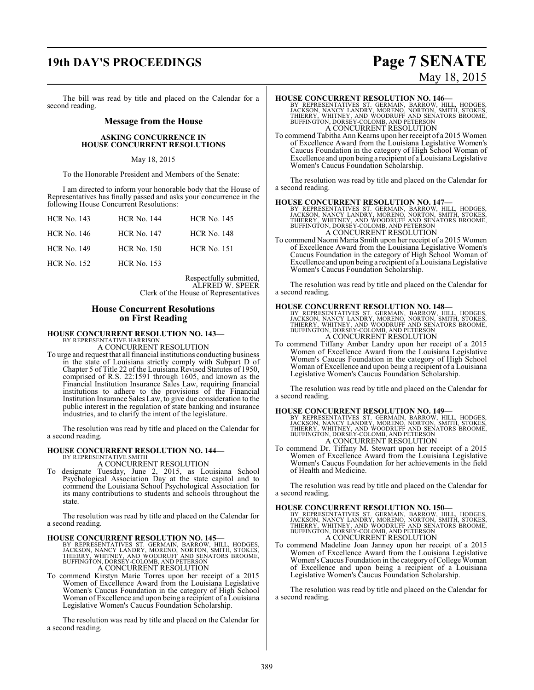### **19th DAY'S PROCEEDINGS Page 7 SENATE**

The bill was read by title and placed on the Calendar for a second reading.

#### **Message from the House**

#### **ASKING CONCURRENCE IN HOUSE CONCURRENT RESOLUTIONS**

#### May 18, 2015

To the Honorable President and Members of the Senate:

I am directed to inform your honorable body that the House of Representatives has finally passed and asks your concurrence in the following House Concurrent Resolutions:

| <b>HCR No. 143</b> | <b>HCR No. 144</b> | <b>HCR No. 145</b> |
|--------------------|--------------------|--------------------|
| <b>HCR No. 146</b> | <b>HCR No. 147</b> | <b>HCR No. 148</b> |
| <b>HCR No. 149</b> | <b>HCR No. 150</b> | <b>HCR No. 151</b> |
| <b>HCR No. 152</b> | <b>HCR No. 153</b> |                    |

Respectfully submitted, ALFRED W. SPEER Clerk of the House of Representatives

### **House Concurrent Resolutions on First Reading**

#### **HOUSE CONCURRENT RESOLUTION NO. 143—** BY REPRESENTATIVE HARRISON

A CONCURRENT RESOLUTION

To urge and request that all financial institutions conducting business in the state of Louisiana strictly comply with Subpart D of Chapter 5 of Title 22 of the Louisiana Revised Statutes of 1950, comprised of R.S. 22:1591 through 1605, and known as the Financial Institution Insurance Sales Law, requiring financial institutions to adhere to the provisions of the Financial Institution Insurance Sales Law, to give due consideration to the public interest in the regulation of state banking and insurance industries, and to clarify the intent of the legislature.

The resolution was read by title and placed on the Calendar for a second reading.

#### **HOUSE CONCURRENT RESOLUTION NO. 144—** BY REPRESENTATIVE SMITH

A CONCURRENT RESOLUTION

To designate Tuesday, June 2, 2015, as Louisiana School Psychological Association Day at the state capitol and to commend the Louisiana School Psychological Association for its many contributions to students and schools throughout the state.

The resolution was read by title and placed on the Calendar for a second reading.

**HOUSE CONCURRENT RESOLUTION NO. 145—**<br>BY REPRESENTATIVES ST. GERMAIN, BARROW, HILL, HODGES, JACKSON, NANCY LANDRY, MORENO, NORTON, SMITH, STOKES,<br>THIERRY, WHITNEY, AND WOODRUFF AND SENATORS BROOME,<br>BUFFINGTON, DORSEY-COLO

To commend Kirstyn Marie Torres upon her receipt of a 2015 Women of Excellence Award from the Louisiana Legislative Women's Caucus Foundation in the category of High School Woman of Excellence and upon being a recipient of a Louisiana Legislative Women's Caucus Foundation Scholarship.

The resolution was read by title and placed on the Calendar for a second reading.

# May 18, 2015

#### **HOUSE CONCURRENT RESOLUTION NO. 146—**

BY REPRESENTATIVES ST. GERMAIN, BARROW, HILL, HODGES,<br>JACKSON, NANCY LANDRY, MORENO, NORTON, SMITH, STOKES,<br>THIERRY, WHITNEY, AND WOODRUFF AND SENATORS BROOME,<br>BUFFINGTON,DORSEY-COLOMB, AND PETERSON A CONCURRENT RESOLUTION

To commend Tabitha Ann Kearns upon her receipt of a 2015 Women of Excellence Award from the Louisiana Legislative Women's Caucus Foundation in the category of High School Woman of Excellence and upon being a recipient of a Louisiana Legislative Women's Caucus Foundation Scholarship.

The resolution was read by title and placed on the Calendar for a second reading.

#### **HOUSE CONCURRENT RESOLUTION NO. 147—**

BY REPRESENTATIVES ST. GERMAIN, BARROW, HILL, HODGES,<br>JACKSON, NANCY LANDRY, MORENO, NORTON, SMITH, STOKES,<br>THIERRY, WHITNEY, AND WOODRUFF AND SENATORS BROOME,<br>BUFFINGTON, DORSEY-COLOMB, AND PETERSON<br>A CONCURRENT RESOLUTIO

To commend Naomi Maria Smith upon her receipt of a 2015 Women of Excellence Award from the Louisiana Legislative Women's Caucus Foundation in the category of High School Woman of Excellence and upon being a recipient of a Louisiana Legislative Women's Caucus Foundation Scholarship.

The resolution was read by title and placed on the Calendar for a second reading.

**HOUSE CONCURRENT RESOLUTION NO. 148**<br>BY REPRESENTATIVES ST. GERMAIN, BARROW, HILL, HODGES,<br>JACKSON, NANCY LANDRY, MORENO, NORTON, SMITH, STOKES,<br>THIERRY, WHITNEY, AND WOODRUFF AND SENATORS BROOME,<br>BUFFINGTON, DORSEY-COLOM A CONCURRENT RESOLUTION

To commend Tiffany Amber Landry upon her receipt of a 2015 Women of Excellence Award from the Louisiana Legislative Women's Caucus Foundation in the category of High School Woman of Excellence and upon being a recipient of a Louisiana Legislative Women's Caucus Foundation Scholarship.

The resolution was read by title and placed on the Calendar for a second reading.

#### **HOUSE CONCURRENT RESOLUTION NO. 149—**

BY REPRESENTATIVES ST. GERMAIN, BARROW, HILL, HODGES,<br>JACKSON, NANCY LANDRY, MORENO, NORTON, SMITH, STOKES,<br>THIERRY, WHITNEY, AND WOODRUFF AND SENATORS BROOME,<br>BUFFINGTON,DORSEY-COLOMB, AND PETERSON A CONCURRENT RESOLUTION

To commend Dr. Tiffany M. Stewart upon her receipt of a 2015 Women of Excellence Award from the Louisiana Legislative Women's Caucus Foundation for her achievements in the field of Health and Medicine.

The resolution was read by title and placed on the Calendar for a second reading.

#### **HOUSE CONCURRENT RESOLUTION NO. 150—**

BY REPRESENTATIVES ST. GERMAIN, BARROW, HILL, HODGES,<br>JACKSON, NANCY LANDRY, MORENO, NORTON, SMITH, STOKES,<br>THIERRY, WHITNEY, AND WOODRUFF AND SENATORS BROOME,<br>BUFFINGTON,DORSEY-COLOMB, AND PETERSON A CONCURRENT RESOLUTION

To commend Madeline Joan Janney upon her receipt of a 2015 Women of Excellence Award from the Louisiana Legislative Women's Caucus Foundation in the category of College Woman of Excellence and upon being a recipient of a Louisiana Legislative Women's Caucus Foundation Scholarship.

The resolution was read by title and placed on the Calendar for a second reading.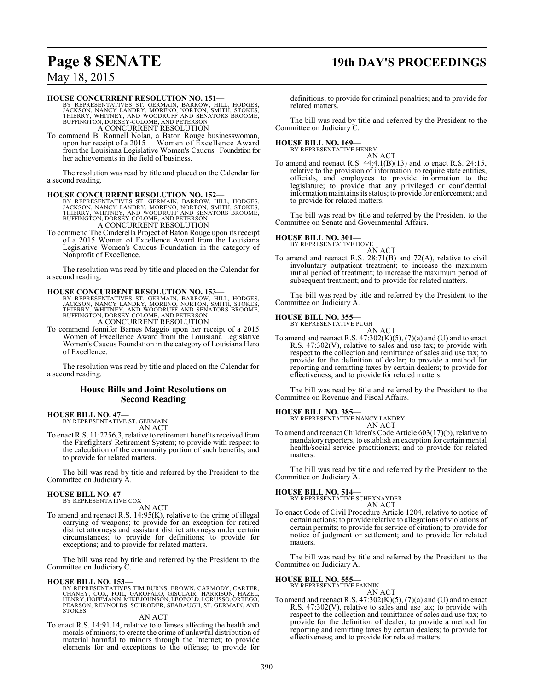# **Page 8 SENATE 19th DAY'S PROCEEDINGS**

### May 18, 2015

#### **HOUSE CONCURRENT RESOLUTION NO. 151—**

BY REPRESENTATIVES ST. GERMAIN, BARROW, HILL, HODGES,<br>JACKSON, NANCY LANDRY, MORENO, NORTON, SMITH, STOKES,<br>THIERRY, WHITNEY, AND WOODRUFF AND SENATORS BROOME,<br>BUFFINGTON,DORSEY-COLOMB, AND PETERSON A CONCURRENT RESOLUTION

To commend B. Ronnell Nolan, a Baton Rouge businesswoman, upon her receipt of a 2015 Women of Excellence Award upon her receipt of a 2015 Women of Excellence Award<br>from the Louisiana Legislative Women's Caucus Foundation for her achievements in the field of business.

The resolution was read by title and placed on the Calendar for a second reading.

**HOUSE CONCURRENT RESOLUTION NO. 152—**<br>BY REPRESENTATIVES ST. GERMAIN, BARROW, HILL, HODGES,<br>JACKSON, NANCY LANDRY, MORENO, NORTON, SMITH, STOKES,<br>THIERRY, WHITNEY, AND WOODRUFF AND SENATORS BROOME,<br>BUFFINGTON, DORSEY-COLO A CONCURRENT RESOLUTION

To commend The Cinderella Project of Baton Rouge upon its receipt of a 2015 Women of Excellence Award from the Louisiana Legislative Women's Caucus Foundation in the category of Nonprofit of Excellence.

The resolution was read by title and placed on the Calendar for a second reading.

#### **HOUSE CONCURRENT RESOLUTION NO. 153—**

BY REPRESENTATIVES ST. GERMAIN, BARROW, HILL, HODGES,<br>JACKSON, NANCY LANDRY, MORENO, NORTON, SMITH, STOKES,<br>THIERRY, WHITNEY, AND WOODRUFF AND SENATORS BROOME,<br>BUFFINGTON,DORSEY-COLOMB, AND PETERSON A CONCURRENT RESOLUTION

To commend Jennifer Barnes Maggio upon her receipt of a 2015 Women of Excellence Award from the Louisiana Legislative Women's Caucus Foundation in the category of Louisiana Hero of Excellence.

The resolution was read by title and placed on the Calendar for a second reading.

#### **House Bills and Joint Resolutions on Second Reading**

### **HOUSE BILL NO. 47—** BY REPRESENTATIVE ST. GERMAIN

AN ACT

To enact R.S. 11:2256.3, relative to retirement benefits received from the Firefighters' Retirement System; to provide with respect to the calculation of the community portion of such benefits; and to provide for related matters.

The bill was read by title and referred by the President to the Committee on Judiciary A.

#### **HOUSE BILL NO. 67—** BY REPRESENTATIVE COX

AN ACT

To amend and reenact R.S. 14:95(K), relative to the crime of illegal carrying of weapons; to provide for an exception for retired district attorneys and assistant district attorneys under certain circumstances; to provide for definitions; to provide for exceptions; and to provide for related matters.

The bill was read by title and referred by the President to the Committee on Judiciary C.

#### **HOUSE BILL NO. 153—**

BY REPRESENTATIVES TIM BURNS, BROWN, CARMODY, CARTER,<br>CHANEY, COX, FOIL, GAROFALO, GISCLAIR, HARRISON, HAZEL,<br>HENRY, HOFFMANN, MIKE JOHNSON, LEOPOLD, LORUSSO, ORTEGO,<br>PEARSON, REYNOLDS, SCHRODER, SEABAUGH, ST. GERMAIN, AND **STOKES** 

AN ACT

To enact R.S. 14:91.14, relative to offenses affecting the health and morals of minors; to create the crime of unlawful distribution of material harmful to minors through the Internet; to provide elements for and exceptions to the offense; to provide for

definitions; to provide for criminal penalties; and to provide for related matters.

The bill was read by title and referred by the President to the Committee on Judiciary C.

### **HOUSE BILL NO. 169—** BY REPRESENTATIVE HENRY

AN ACT

To amend and reenact R.S. 44:4.1(B)(13) and to enact R.S. 24:15, relative to the provision of information; to require state entities, officials, and employees to provide information to the legislature; to provide that any privileged or confidential information maintains its status; to provide for enforcement; and to provide for related matters.

The bill was read by title and referred by the President to the Committee on Senate and Governmental Affairs.

#### **HOUSE BILL NO. 301—**

BY REPRESENTATIVE DOVE

AN ACT To amend and reenact R.S. 28:71(B) and 72(A), relative to civil involuntary outpatient treatment; to increase the maximum initial period of treatment; to increase the maximum period of subsequent treatment; and to provide for related matters.

The bill was read by title and referred by the President to the Committee on Judiciary A.

#### **HOUSE BILL NO. 355—**

BY REPRESENTATIVE PUGH AN ACT

To amend and reenact R.S.  $47:302(K)(5)$ ,  $(7)(a)$  and (U) and to enact R.S. 47:302(V), relative to sales and use tax; to provide with respect to the collection and remittance of sales and use tax; to provide for the definition of dealer; to provide a method for reporting and remitting taxes by certain dealers; to provide for effectiveness; and to provide for related matters.

The bill was read by title and referred by the President to the Committee on Revenue and Fiscal Affairs.

#### **HOUSE BILL NO. 385—**

BY REPRESENTATIVE NANCY LANDRY AN ACT

To amend and reenact Children's Code Article 603(17)(b), relative to mandatory reporters; to establish an exception for certain mental health/social service practitioners; and to provide for related matters.

The bill was read by title and referred by the President to the Committee on Judiciary A.

**HOUSE BILL NO. 514—** BY REPRESENTATIVE SCHEXNAYDER

### AN ACT

To enact Code of Civil Procedure Article 1204, relative to notice of certain actions; to provide relative to allegations of violations of certain permits; to provide for service of citation; to provide for notice of judgment or settlement; and to provide for related matters.

The bill was read by title and referred by the President to the Committee on Judiciary A.

#### **HOUSE BILL NO. 555—**

BY REPRESENTATIVE FANNIN

AN ACT To amend and reenact R.S.  $47:302(K)(5)$ ,  $(7)(a)$  and  $(U)$  and to enact R.S. 47:302(V), relative to sales and use tax; to provide with respect to the collection and remittance of sales and use tax; to provide for the definition of dealer; to provide a method for reporting and remitting taxes by certain dealers; to provide for effectiveness; and to provide for related matters.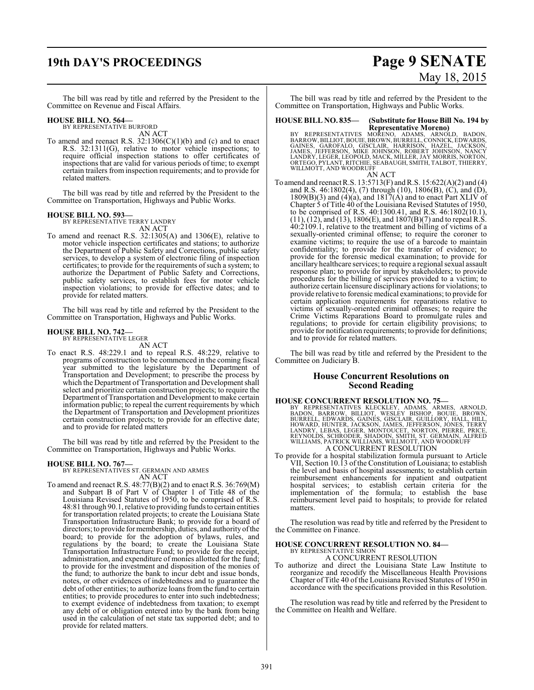## **19th DAY'S PROCEEDINGS Page 9 SENATE**

# May 18, 2015

The bill was read by title and referred by the President to the Committee on Revenue and Fiscal Affairs.

#### **HOUSE BILL NO. 564—**

BY REPRESENTATIVE BURFORD AN ACT

To amend and reenact R.S. 32:1306(C)(1)(b) and (c) and to enact R.S. 32:1311(G), relative to motor vehicle inspections; to require official inspection stations to offer certificates of inspections that are valid for various periods of time; to exempt certain trailers from inspection requirements; and to provide for related matters.

The bill was read by title and referred by the President to the Committee on Transportation, Highways and Public Works.

#### **HOUSE BILL NO. 593—**

BY REPRESENTATIVE TERRY LANDRY AN ACT

To amend and reenact R.S. 32:1305(A) and 1306(E), relative to motor vehicle inspection certificates and stations; to authorize the Department of Public Safety and Corrections, public safety services, to develop a system of electronic filing of inspection certificates; to provide for the requirements of such a system; to authorize the Department of Public Safety and Corrections, public safety services, to establish fees for motor vehicle inspection violations; to provide for effective dates; and to provide for related matters.

The bill was read by title and referred by the President to the Committee on Transportation, Highways and Public Works.

#### **HOUSE BILL NO. 742—**

BY REPRESENTATIVE LEGER AN ACT

To enact R.S. 48:229.1 and to repeal R.S. 48:229, relative to programs of construction to be commenced in the coming fiscal year submitted to the legislature by the Department of Transportation and Development; to prescribe the process by which the Department of Transportation and Development shall select and prioritize certain construction projects; to require the Department ofTransportation and Development to make certain information public; to repeal the current requirements by which the Department of Transportation and Development prioritizes certain construction projects; to provide for an effective date; and to provide for related matters

The bill was read by title and referred by the President to the Committee on Transportation, Highways and Public Works.

**HOUSE BILL NO. 767—** BY REPRESENTATIVES ST. GERMAIN AND ARMES AN ACT

To amend and reenact R.S. 48:77(B)(2) and to enact R.S. 36:769(M) and Subpart B of Part V of Chapter 1 of Title 48 of the Louisiana Revised Statutes of 1950, to be comprised of R.S. 48:81 through 90.1, relative to providing funds to certain entities for transportation related projects; to create the Louisiana State Transportation Infrastructure Bank; to provide for a board of directors; to provide for membership, duties, and authority ofthe board; to provide for the adoption of bylaws, rules, and regulations by the board; to create the Louisiana State Transportation Infrastructure Fund; to provide for the receipt, administration, and expenditure of monies allotted for the fund; to provide for the investment and disposition of the monies of the fund; to authorize the bank to incur debt and issue bonds, notes, or other evidences of indebtedness and to guarantee the debt of other entities; to authorize loans from the fund to certain entities; to provide procedures to enter into such indebtedness; to exempt evidence of indebtedness from taxation; to exempt any debt of or obligation entered into by the bank from being used in the calculation of net state tax supported debt; and to provide for related matters.

The bill was read by title and referred by the President to the Committee on Transportation, Highways and Public Works.

#### **HOUSE BILL NO. 835— (Substitute for House Bill No. 194 by Representative Moreno)**

BY REPRESENTATIVES MOŘENO, ADAMS, ARNOLD, BADON,<br>BARROW,BILLIOT,BOUIE,BROWN,BURRELL,CONNICK,EDWARDS,<br>GAINES, GAROFALO, GISCLAIR, HARRISON, HAZEL, JACKSON,<br>JAMES, JEFFERSON, MIKE JOHNSON, ROBERT JOHNSON, NANCY<br>LANDRY,LEGER,

#### AN ACT

To amend and reenact R.S. 13:5713(F) and R.S. 15:622(A)(2) and (4) and R.S. 46:1802(4), (7) through (10), 1806(B), (C), and (D),  $1809(B)(3)$  and  $(4)(a)$ , and  $1817(A)$  and to enact Part XLIV of Chapter 5 of Title 40 of the Louisiana Revised Statutes of 1950, to be comprised of R.S. 40:1300.41, and R.S. 46:1802(10.1),  $(11)$ ,  $(12)$ , and  $(13)$ ,  $1806(E)$ , and  $1807(B)(7)$  and to repeal R.S. 40:2109.1, relative to the treatment and billing of victims of a sexually-oriented criminal offense; to require the coroner to examine victims; to require the use of a barcode to maintain confidentiality; to provide for the transfer of evidence; to provide for the forensic medical examination; to provide for ancillary healthcare services; to require a regional sexual assault response plan; to provide for input by stakeholders; to provide procedures for the billing of services provided to a victim; to authorize certain licensure disciplinary actions for violations; to provide relative to forensic medical examinations; to provide for certain application requirements for reparations relative to victims of sexually-oriented criminal offenses; to require the Crime Victims Reparations Board to promulgate rules and regulations; to provide for certain eligibility provisions; to provide for notification requirements; to provide for definitions; and to provide for related matters.

The bill was read by title and referred by the President to the Committee on Judiciary B.

#### **House Concurrent Resolutions on Second Reading**

# **HOUSE CONCURRENT RESOLUTION NO. 75—**<br>BY REPRESENTATIVES KLECKLEY, ADAMS, ARMES, ARNOLD, BARROW, BURRELL, EDWARDS, GAINES, GISCLAIR, GUILLORY, HALL, HILL,<br>HOWARD, HUNTER, JACKSON, JAMES, JEFFERSON, JONES, TERRY<br>LANDRY, LEB A CONCURRENT RESOLUTION

To provide for a hospital stabilization formula pursuant to Article VII, Section 10.13 of the Constitution of Louisiana; to establish the level and basis of hospital assessments; to establish certain reimbursement enhancements for inpatient and outpatient hospital services; to establish certain criteria for the implementation of the formula; to establish the base reimbursement level paid to hospitals; to provide for related matters.

The resolution was read by title and referred by the President to the Committee on Finance.

#### **HOUSE CONCURRENT RESOLUTION NO. 84—** BY REPRESENTATIVE SIMON

A CONCURRENT RESOLUTION

To authorize and direct the Louisiana State Law Institute to reorganize and recodify the Miscellaneous Health Provisions Chapter of Title 40 of the Louisiana Revised Statutes of 1950 in accordance with the specifications provided in this Resolution.

The resolution was read by title and referred by the President to the Committee on Health and Welfare.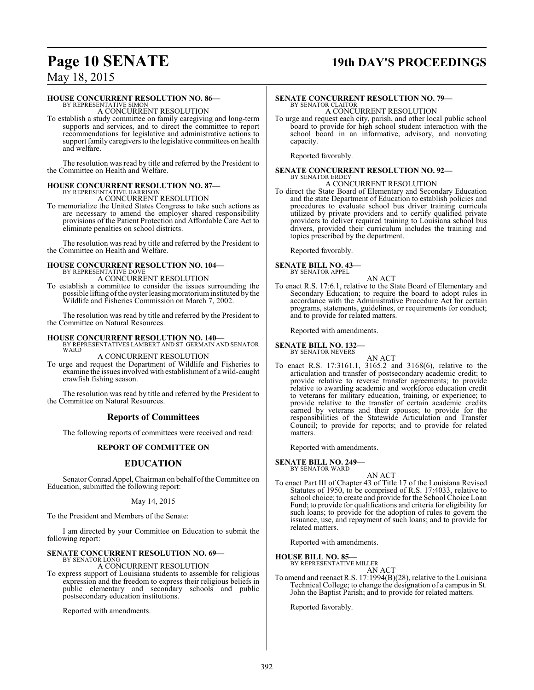# **Page 10 SENATE 19th DAY'S PROCEEDINGS**

### May 18, 2015

#### **HOUSE CONCURRENT RESOLUTION NO. 86—**

BY REPRESENTATIVE SIMON A CONCURRENT RESOLUTION

To establish a study committee on family caregiving and long-term supports and services, and to direct the committee to report recommendations for legislative and administrative actions to support family caregivers to the legislative committees on health and welfare.

The resolution was read by title and referred by the President to the Committee on Health and Welfare.

#### **HOUSE CONCURRENT RESOLUTION NO. 87—** BY REPRESENTATIVE HARRISON

A CONCURRENT RESOLUTION

To memorialize the United States Congress to take such actions as are necessary to amend the employer shared responsibility provisions of the Patient Protection and Affordable Care Act to eliminate penalties on school districts.

The resolution was read by title and referred by the President to the Committee on Health and Welfare.

#### **HOUSE CONCURRENT RESOLUTION NO. 104—** BY REPRESENTATIVE DOVE

A CONCURRENT RESOLUTION

To establish a committee to consider the issues surrounding the possible lifting of the oyster leasing moratorium instituted by the Wildlife and Fisheries Commission on March 7, 2002.

The resolution was read by title and referred by the President to the Committee on Natural Resources.

#### **HOUSE CONCURRENT RESOLUTION NO. 140—**

BY REPRESENTATIVES LAMBERT AND ST. GERMAIN AND SENATOR WARD

### A CONCURRENT RESOLUTION

To urge and request the Department of Wildlife and Fisheries to examine the issues involved with establishment of a wild-caught crawfish fishing season.

The resolution was read by title and referred by the President to the Committee on Natural Resources.

### **Reports of Committees**

The following reports of committees were received and read:

#### **REPORT OF COMMITTEE ON**

### **EDUCATION**

Senator Conrad Appel, Chairman on behalf ofthe Committee on Education, submitted the following report:

#### May 14, 2015

To the President and Members of the Senate:

I am directed by your Committee on Education to submit the following report:

#### **SENATE CONCURRENT RESOLUTION NO. 69—** BY SENATOR LONG

A CONCURRENT RESOLUTION

To express support of Louisiana students to assemble for religious expression and the freedom to express their religious beliefs in public elementary and secondary schools and public postsecondary education institutions.

Reported with amendments.

### **SENATE CONCURRENT RESOLUTION NO. 79—** BY SENATOR CLAITOR A CONCURRENT RESOLUTION

To urge and request each city, parish, and other local public school board to provide for high school student interaction with the school board in an informative, advisory, and nonvoting capacity.

Reported favorably.

#### **SENATE CONCURRENT RESOLUTION NO. 92—** BY SENATOR ERDEY

A CONCURRENT RESOLUTION

To direct the State Board of Elementary and Secondary Education and the state Department of Education to establish policies and procedures to evaluate school bus driver training curricula utilized by private providers and to certify qualified private providers to deliver required training to Louisiana school bus drivers, provided their curriculum includes the training and topics prescribed by the department.

Reported favorably.

# **SENATE BILL NO. 43—** BY SENATOR APPEL

AN ACT

To enact R.S. 17:6.1, relative to the State Board of Elementary and Secondary Education; to require the board to adopt rules in accordance with the Administrative Procedure Act for certain programs, statements, guidelines, or requirements for conduct; and to provide for related matters.

Reported with amendments.

#### **SENATE BILL NO. 132—** BY SENATOR NEVERS

AN ACT

To enact R.S. 17:3161.1, 3165.2 and 3168(6), relative to the articulation and transfer of postsecondary academic credit; to provide relative to reverse transfer agreements; to provide relative to awarding academic and workforce education credit to veterans for military education, training, or experience; to provide relative to the transfer of certain academic credits earned by veterans and their spouses; to provide for the responsibilities of the Statewide Articulation and Transfer Council; to provide for reports; and to provide for related matters.

Reported with amendments.

#### **SENATE BILL NO. 249—**

BY SENATOR WARD

- AN ACT
- To enact Part III of Chapter 43 of Title 17 of the Louisiana Revised Statutes of 1950, to be comprised of R.S. 17:4033, relative to school choice; to create and provide for the School Choice Loan Fund; to provide for qualifications and criteria for eligibility for such loans; to provide for the adoption of rules to govern the issuance, use, and repayment of such loans; and to provide for related matters.

Reported with amendments.

**HOUSE BILL NO. 85—** BY REPRESENTATIVE MILLER AN ACT

To amend and reenact R.S. 17:1994(B)(28), relative to the Louisiana Technical College; to change the designation of a campus in St. John the Baptist Parish; and to provide for related matters.

Reported favorably.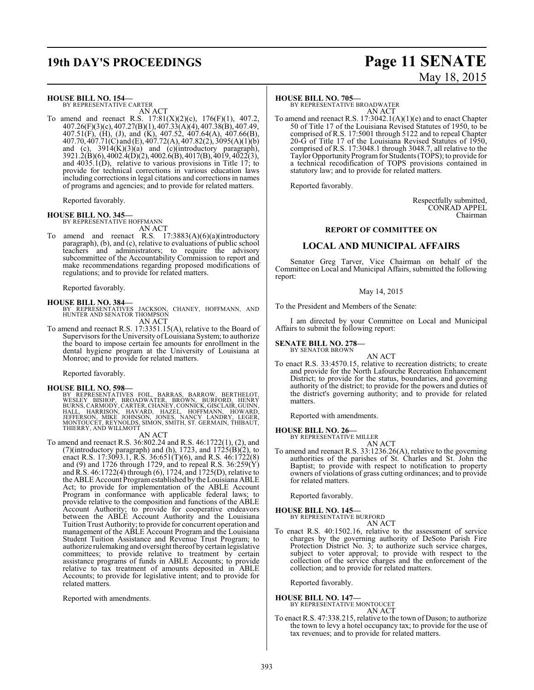# **19th DAY'S PROCEEDINGS Page 11 SENATE**

#### **HOUSE BILL NO. 154—**

BY REPRESENTATIVE CARTER AN ACT

To amend and reenact R.S.  $17:81(X)(2)(c)$ ,  $176(F)(1)$ , 407.2, 407.26(F)(3)(c), 407.27(B)(1), 407.33(A)(4), 407.38(B), 407.49, 407.51(F), (H), (J), and (K), 407.52, 407.64(A), 407.66(B), 407.70, 407.71(C) and (E), 407.72(A), 407.82(2), 3095(A)(1)(b) and (c), 3914(K)(3)(a) and (c)(introductory paragraph), 3921.2(B)(6), 4002.4(D)(2), 4002.6(B), 4017(B), 4019, 4022(3), and  $4035.1(D)$ , relative to various provisions in Title 17; to provide for technical corrections in various education laws including corrections in legal citations and corrections in names of programs and agencies; and to provide for related matters.

Reported favorably.

### **HOUSE BILL NO. 345—**

BY REPRESENTATIVE HOFFMANN AN ACT

To amend and reenact R.S. 17:3883(A)(6)(a)(introductory paragraph), (b), and (c), relative to evaluations of public school teachers and administrators; to require the advisory subcommittee of the Accountability Commission to report and make recommendations regarding proposed modifications of regulations; and to provide for related matters.

Reported favorably.

**HOUSE BILL NO. 384—** BY REPRESENTATIVES JACKSON, CHANEY, HOFFMANN, AND HUNTER AND SENATOR THOMPSON

- AN ACT To amend and reenact R.S. 17:3351.15(A), relative to the Board of Supervisors for the University ofLouisiana System; to authorize
	- the board to impose certain fee amounts for enrollment in the dental hygiene program at the University of Louisiana at Monroe; and to provide for related matters.

Reported favorably.

#### **HOUSE BILL NO. 598—**

BY REPRESENTATIVES FOIL, BARRAS, BARROW, BERTHELOT,<br>WESLEY BISHOP, BROADWATER, BROWN, BURFORD, HENRY<br>BURNS,CARMODY,CARTER,CHANEY,CONNICK,GISCLAIR,GUINN,<br>HALL, HARRISON, HAVARD, HAZEL, HOFFMANN, HOWARD,<br>JEFFERSON, MIKE JOHN

#### AN ACT

To amend and reenact R.S. 36:802.24 and R.S. 46:1722(1), (2), and (7)(introductory paragraph) and (h), 1723, and  $1725(B)(2)$ , to enact R.S. 17:3093.1, R.S. 36:651(T)(6), and R.S.  $46:1722(8)$ and (9) and 1726 through 1729, and to repeal R.S. 36:259(Y) and R.S. 46:1722(4) through (6), 1724, and 1725(D), relative to the ABLE Account Programestablished by the Louisiana ABLE Act; to provide for implementation of the ABLE Account Program in conformance with applicable federal laws; to provide relative to the composition and functions of the ABLE Account Authority; to provide for cooperative endeavors between the ABLE Account Authority and the Louisiana Tuition Trust Authority; to provide for concurrent operation and management of the ABLE Account Program and the Louisiana Student Tuition Assistance and Revenue Trust Program; to authorize rulemaking and oversight thereof by certain legislative committees; to provide relative to treatment by certain assistance programs of funds in ABLE Accounts; to provide relative to tax treatment of amounts deposited in ABLE Accounts; to provide for legislative intent; and to provide for related matters.

Reported with amendments.

# May 18, 2015

#### **HOUSE BILL NO. 705—**

BY REPRESENTATIVE BROADWATER AN ACT

To amend and reenact R.S. 17:3042.1(A)(1)(e) and to enact Chapter 50 of Title 17 of the Louisiana Revised Statutes of 1950, to be comprised of R.S. 17:5001 through 5122 and to repeal Chapter 20-G of Title 17 of the Louisiana Revised Statutes of 1950, comprised of R.S. 17:3048.1 through 3048.7, all relative to the Taylor Opportunity Program for Students (TOPS); to provide for a technical recodification of TOPS provisions contained in statutory law; and to provide for related matters.

Reported favorably.

Respectfully submitted, CONRAD APPEL Chairman

#### **REPORT OF COMMITTEE ON**

#### **LOCAL AND MUNICIPAL AFFAIRS**

Senator Greg Tarver, Vice Chairman on behalf of the Committee on Local and Municipal Affairs, submitted the following report:

#### May 14, 2015

To the President and Members of the Senate:

I am directed by your Committee on Local and Municipal Affairs to submit the following report:

#### **SENATE BILL NO. 278—**

BY SENATOR BROWN AN ACT

To enact R.S. 33:4570.15, relative to recreation districts; to create and provide for the North Lafourche Recreation Enhancement District; to provide for the status, boundaries, and governing authority of the district; to provide for the powers and duties of the district's governing authority; and to provide for related matters.

Reported with amendments.

#### **HOUSE BILL NO. 26—**

BY REPRESENTATIVE MILLER AN ACT

To amend and reenact R.S. 33:1236.26(A), relative to the governing authorities of the parishes of St. Charles and St. John the Baptist; to provide with respect to notification to property owners of violations of grass cutting ordinances; and to provide for related matters.

Reported favorably.

### **HOUSE BILL NO. 145—** BY REPRESENTATIVE BURFORD

AN ACT

To enact R.S. 40:1502.16, relative to the assessment of service charges by the governing authority of DeSoto Parish Fire Protection District No. 3; to authorize such service charges, subject to voter approval; to provide with respect to the collection of the service charges and the enforcement of the collection; and to provide for related matters.

Reported favorably.

#### **HOUSE BILL NO. 147—**

BY REPRESENTATIVE MONTOUCET AN ACT

To enact R.S. 47:338.215, relative to the town of Duson; to authorize the town to levy a hotel occupancy tax; to provide for the use of tax revenues; and to provide for related matters.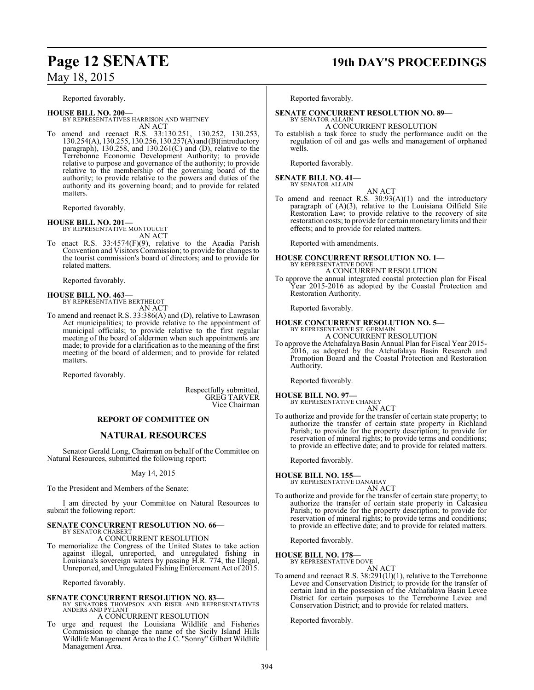### May 18, 2015

Reported favorably.

**HOUSE BILL NO. 200—** BY REPRESENTATIVES HARRISON AND WHITNEY AN ACT

To amend and reenact R.S. 33:130.251, 130.252, 130.253, 130.254(A), 130.255, 130.256, 130.257(A) and (B)(introductory paragraph), 130.258, and 130.261(C) and (D), relative to the Terrebonne Economic Development Authority; to provide relative to purpose and governance of the authority; to provide relative to the membership of the governing board of the authority; to provide relative to the powers and duties of the authority and its governing board; and to provide for related matters.

Reported favorably.

#### **HOUSE BILL NO. 201—**

BY REPRESENTATIVE MONTOUCET AN ACT

To enact R.S. 33:4574(F)(9), relative to the Acadia Parish Convention and Visitors Commission; to provide for changes to the tourist commission's board of directors; and to provide for related matters.

Reported favorably.

# **HOUSE BILL NO. 463—** BY REPRESENTATIVE BERTHELOT

AN ACT To amend and reenact R.S. 33:386(A) and (D), relative to Lawrason Act municipalities; to provide relative to the appointment of municipal officials; to provide relative to the first regular meeting of the board of aldermen when such appointments are made; to provide for a clarification as to the meaning of the first meeting of the board of aldermen; and to provide for related matters.

Reported favorably.

Respectfully submitted, GREG TARVER Vice Chairman

#### **REPORT OF COMMITTEE ON**

### **NATURAL RESOURCES**

Senator Gerald Long, Chairman on behalf of the Committee on Natural Resources, submitted the following report:

May 14, 2015

To the President and Members of the Senate:

I am directed by your Committee on Natural Resources to submit the following report:

#### **SENATE CONCURRENT RESOLUTION NO. 66—** BY SENATOR CHABERT

A CONCURRENT RESOLUTION

To memorialize the Congress of the United States to take action against illegal, unreported, and unregulated fishing in Louisiana's sovereign waters by passing H.R. 774, the Illegal, Unreported, and Unregulated Fishing Enforcement Act of 2015.

Reported favorably.

### **SENATE CONCURRENT RESOLUTION NO. 83—**

- BY SENATORS THOMPSON AND RISER AND REPRESENTATIVES ANDERS AND PYLANT A CONCURRENT RESOLUTION
- To urge and request the Louisiana Wildlife and Fisheries Commission to change the name of the Sicily Island Hills Wildlife Management Area to the J.C. "Sonny" Gilbert Wildlife Management Area.

### **Page 12 SENATE 19th DAY'S PROCEEDINGS**

Reported favorably.

### **SENATE CONCURRENT RESOLUTION NO. 89—**

BY SENATOR ALLAIN A CONCURRENT RESOLUTION

To establish a task force to study the performance audit on the regulation of oil and gas wells and management of orphaned wells.

Reported favorably.

#### **SENATE BILL NO. 41—** BY SENATOR ALLAIN

AN ACT To amend and reenact R.S. 30:93(A)(1) and the introductory paragraph of (A)(3), relative to the Louisiana Oilfield Site Restoration Law; to provide relative to the recovery of site restoration costs; to provide for certain monetary limits and their effects; and to provide for related matters.

Reported with amendments.

# **HOUSE CONCURRENT RESOLUTION NO. 1—** BY REPRESENTATIVE DOVE

A CONCURRENT RESOLUTION To approve the annual integrated coastal protection plan for Fiscal Year 2015-2016 as adopted by the Coastal Protection and Restoration Authority.

Reported favorably.

# **HOUSE CONCURRENT RESOLUTION NO. 5—**<br>BY REPRESENTATIVE ST. GERMAIN<br>A CONCURRENT RESOLUTION

To approve the Atchafalaya Basin Annual Plan for Fiscal Year 2015- 2016, as adopted by the Atchafalaya Basin Research and Promotion Board and the Coastal Protection and Restoration Authority.

Reported favorably.

#### **HOUSE BILL NO. 97—** BY REPRESENTATIVE CHANEY AN ACT

To authorize and provide for the transfer of certain state property; to authorize the transfer of certain state property in Richland Parish; to provide for the property description; to provide for reservation of mineral rights; to provide terms and conditions; to provide an effective date; and to provide for related matters.

Reported favorably.

**HOUSE BILL NO. 155—**

BY REPRESENTATIVE DANAHAY

- AN ACT
- To authorize and provide for the transfer of certain state property; to authorize the transfer of certain state property in Calcasieu Parish; to provide for the property description; to provide for reservation of mineral rights; to provide terms and conditions; to provide an effective date; and to provide for related matters.

Reported favorably.

# **HOUSE BILL NO. 178—** BY REPRESENTATIVE DOVE

AN ACT

To amend and reenact R.S. 38:291(U)(1), relative to the Terrebonne Levee and Conservation District; to provide for the transfer of certain land in the possession of the Atchafalaya Basin Levee District for certain purposes to the Terrebonne Levee and Conservation District; and to provide for related matters.

Reported favorably.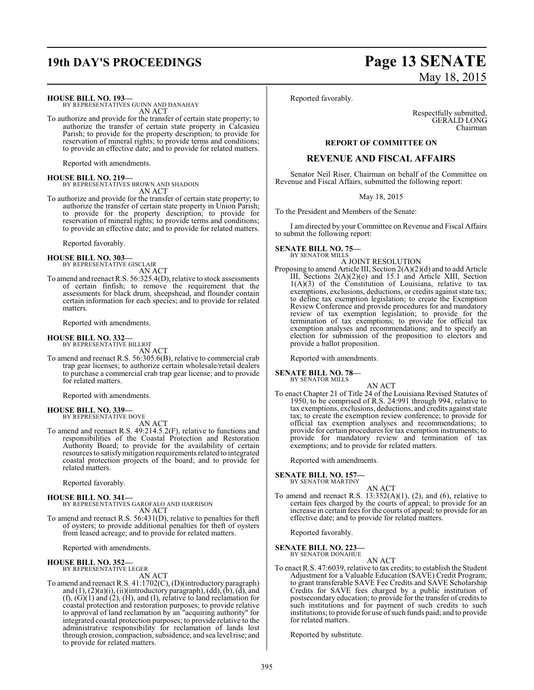# **19th DAY'S PROCEEDINGS Page 13 SENATE**

#### **HOUSE BILL NO. 193—**

BY REPRESENTATIVES GUINN AND DANAHAY AN ACT

To authorize and provide for the transfer of certain state property; to authorize the transfer of certain state property in Calcasieu Parish; to provide for the property description; to provide for reservation of mineral rights; to provide terms and conditions; to provide an effective date; and to provide for related matters.

Reported with amendments.

**HOUSE BILL NO. 219—** BY REPRESENTATIVES BROWN AND SHADOIN AN ACT

To authorize and provide for the transfer of certain state property; to authorize the transfer of certain state property in Union Parish; to provide for the property description; to provide for reservation of mineral rights; to provide terms and conditions; to provide an effective date; and to provide for related matters.

Reported favorably.

#### **HOUSE BILL NO. 303—** BY REPRESENTATIVE GISCLAIR

AN ACT

To amend and reenact R.S. 56:325.4(D), relative to stock assessments of certain finfish; to remove the requirement that the assessments for black drum, sheepshead, and flounder contain certain information for each species; and to provide for related matters.

Reported with amendments.

#### **HOUSE BILL NO. 332—**

BY REPRESENTATIVE BILLIOT AN ACT

To amend and reenact R.S. 56:305.6(B), relative to commercial crab trap gear licenses; to authorize certain wholesale/retail dealers to purchase a commercial crab trap gear license; and to provide for related matters.

Reported with amendments.

# **HOUSE BILL NO. 339—** BY REPRESENTATIVE DOVE

AN ACT

To amend and reenact R.S. 49:214.5.2(F), relative to functions and responsibilities of the Coastal Protection and Restoration Authority Board; to provide for the availability of certain resources to satisfymitigation requirements related to integrated coastal protection projects of the board; and to provide for related matters.

Reported favorably.

**HOUSE BILL NO. 341—** BY REPRESENTATIVES GAROFALO AND HARRISON AN ACT

To amend and reenact R.S. 56:431(D), relative to penalties for theft of oysters; to provide additional penalties for theft of oysters from leased acreage; and to provide for related matters.

Reported with amendments.

#### **HOUSE BILL NO. 352—** BY REPRESENTATIVE LEGER

AN ACT

To amend and reenact R.S. 41:1702(C), (D)(introductory paragraph) and  $(1)$ ,  $(2)(a)(i)$ ,  $(ii)(introductory paragraph)$ ,  $(dd)$ ,  $(b)$ ,  $(d)$ , and (f), (G)(1) and (2), (H), and (I), relative to land reclamation for coastal protection and restoration purposes; to provide relative to approval of land reclamation by an "acquiring authority" for integrated coastal protection purposes; to provide relative to the administrative responsibility for reclamation of lands lost through erosion, compaction, subsidence, and sea level rise; and to provide for related matters.

# May 18, 2015

Reported favorably.

Respectfully submitted, GERALD LONG Chairman

#### **REPORT OF COMMITTEE ON**

#### **REVENUE AND FISCAL AFFAIRS**

Senator Neil Riser, Chairman on behalf of the Committee on Revenue and Fiscal Affairs, submitted the following report:

May 18, 2015

To the President and Members of the Senate:

I am directed by your Committee on Revenue and Fiscal Affairs to submit the following report:

#### **SENATE BILL NO. 75—** BY SENATOR MILLS

#### A JOINT RESOLUTION

Proposing to amend Article III, Section 2(A)(2)(d) and to add Article III, Sections 2(A)(2)(e) and 15.1 and Article XIII, Section 1(A)(3) of the Constitution of Louisiana, relative to tax exemptions, exclusions, deductions, or credits against state tax; to define tax exemption legislation; to create the Exemption Review Conference and provide procedures for and mandatory review of tax exemption legislation; to provide for the termination of tax exemptions; to provide for official tax exemption analyses and recommendations; and to specify an election for submission of the proposition to electors and provide a ballot proposition.

Reported with amendments.

**SENATE BILL NO. 78—** BY SENATOR MILLS

AN ACT To enact Chapter 21 of Title 24 of the Louisiana Revised Statutes of 1950, to be comprised of R.S. 24:991 through 994, relative to tax exemptions, exclusions, deductions, and credits against state tax; to create the exemption review conference; to provide for official tax exemption analyses and recommendations; to provide for certain procedures for tax exemption instruments; to provide for mandatory review and termination of tax exemptions; and to provide for related matters.

Reported with amendments.

**SENATE BILL NO. 157—**

BY SENATOR MARTINY AN ACT

To amend and reenact R.S.  $13:352(A)(1)$ ,  $(2)$ , and  $(6)$ , relative to certain fees charged by the courts of appeal; to provide for an increase in certain fees for the courts of appeal; to provide for an effective date; and to provide for related matters.

Reported favorably.

**SENATE BILL NO. 223—**

BY SENATOR DONAHUE AN ACT

To enact R.S. 47:6039, relative to tax credits; to establish the Student Adjustment for a Valuable Education (SAVE) Credit Program; to grant transferable SAVE Fee Credits and SAVE Scholarship Credits for SAVE fees charged by a public institution of postsecondary education; to provide for the transfer of credits to such institutions and for payment of such credits to such institutions; to provide for use ofsuch funds paid; and to provide for related matters.

Reported by substitute.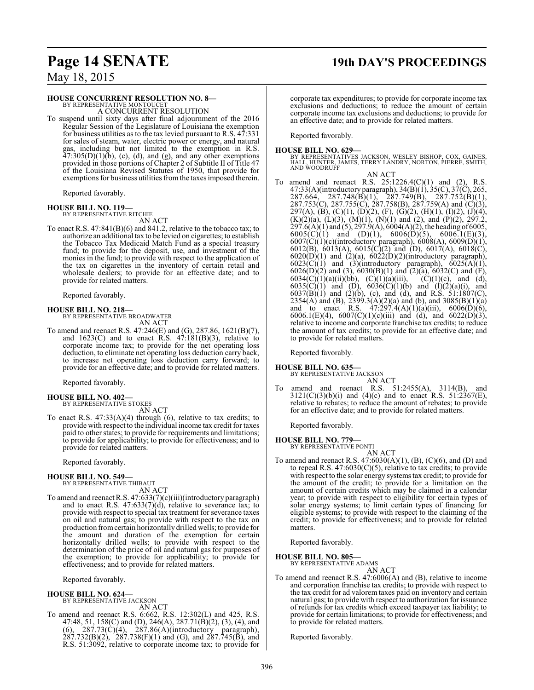# **Page 14 SENATE 19th DAY'S PROCEEDINGS**

May 18, 2015

#### **HOUSE CONCURRENT RESOLUTION NO. 8—**

BY REPRESENTATIVE MONTOUCET A CONCURRENT RESOLUTION

To suspend until sixty days after final adjournment of the 2016 Regular Session of the Legislature of Louisiana the exemption for business utilities as to the tax levied pursuant to R.S. 47:331 for sales of steam, water, electric power or energy, and natural gas, including but not limited to the exemption in R.S.  $47:305(D)(1)(b)$ , (c), (d), and (g), and any other exemptions provided in those portions of Chapter 2 of Subtitle II of Title 47 of the Louisiana Revised Statutes of 1950, that provide for exemptions for business utilities fromthe taxes imposed therein.

Reported favorably.

## **HOUSE BILL NO. 119—** BY REPRESENTATIVE RITCHIE

AN ACT

To enact R.S. 47:841(B)(6) and 841.2, relative to the tobacco tax; to authorize an additional tax to be levied on cigarettes; to establish the Tobacco Tax Medicaid Match Fund as a special treasury fund; to provide for the deposit, use, and investment of the monies in the fund; to provide with respect to the application of the tax on cigarettes in the inventory of certain retail and wholesale dealers; to provide for an effective date; and to provide for related matters.

Reported favorably.

**HOUSE BILL NO. 218—**

BY REPRESENTATIVE BROADWATER AN ACT

To amend and reenact R.S. 47:246(E) and (G), 287.86, 1621(B)(7), and  $1623(C)$  and to enact R.S.  $47:181(B)(3)$ , relative to corporate income tax; to provide for the net operating loss deduction, to eliminate net operating loss deduction carry back, to increase net operating loss deduction carry forward; to provide for an effective date; and to provide for related matters.

Reported favorably.

**HOUSE BILL NO. 402—** BY REPRESENTATIVE STOKES AN ACT

To enact R.S. 47:33(A)(4) through (6), relative to tax credits; to provide with respect to the individual income tax credit for taxes paid to other states; to provide for requirements and limitations; to provide for applicability; to provide for effectiveness; and to provide for related matters.

Reported favorably.

#### **HOUSE BILL NO. 549—**

BY REPRESENTATIVE THIBAUT AN ACT

To amend and reenact R.S. 47:633(7)(c)(iii)(introductory paragraph) and to enact R.S.  $47:633(7)(d)$ , relative to severance tax; to provide with respect to special tax treatment for severance taxes on oil and natural gas; to provide with respect to the tax on production fromcertain horizontally drilled wells; to provide for the amount and duration of the exemption for certain horizontally drilled wells; to provide with respect to the determination of the price of oil and natural gas for purposes of the exemption; to provide for applicability; to provide for effectiveness; and to provide for related matters.

Reported favorably.

#### **HOUSE BILL NO. 624—**

BY REPRESENTATIVE JACKSON AN ACT

To amend and reenact R.S. 6:662, R.S. 12:302(L) and 425, R.S. 47:48, 51, 158(C) and (D), 246(A), 287.71(B)(2), (3), (4), and  $(6)$ , 287.73 $(\dot{C})(4)$ , 287.86 $(\dot{A})(introductory$  paragraph), 287.732(B)(2), 287.738(F)(1) and (G), and 287.745(B), and R.S. 51:3092, relative to corporate income tax; to provide for corporate tax expenditures; to provide for corporate income tax exclusions and deductions; to reduce the amount of certain corporate income tax exclusions and deductions; to provide for an effective date; and to provide for related matters.

Reported favorably.

- **HOUSE BILL NO. 629—** BY REPRESENTATIVES JACKSON, WESLEY BISHOP, COX, GAINES, HALL, HUNTER, JAMES, TERRY LANDRY, NORTON, PIERRE, SMITH, AND WOODRUFF
- AN ACT To amend and reenact R.S.  $25:1226.4(C)(1)$  and  $(2)$ , R.S. 47:33(A)(introductory paragraph), 34(B)(1), 35(C), 37(C), 265, 287.664, 287.748(B)(1), 287.749(B), 287.752(B)(1), 287.753(C), 287.755(C), 287.758(B), 287.759(A) and (C)(3), 297(A), (B), (C)(1), (D)(2), (F), (G)(2), (H)(1), (I)(2), (J)(4),  $(K)(2)(a)$ ,  $(L)(3)$ ,  $(M)(1)$ ,  $(N)(1)$  and  $(2)$ , and  $(P)(2)$ , 297.2,  $297.6(A)(1)$  and  $(5)$ ,  $297.9(A)$ ,  $6004(A)(2)$ , the heading of 6005,
	- $6005(C)(1)$  and  $(D)(1)$ ,  $6006(D)(5)$ ,  $6006.1(E)(3)$ , 6007(C)(1)(c)(introductory paragraph), 6008(A), 6009(D)(1), 6012(B), 6013(A), 6015(C)(2) and (D), 6017(A), 6018(C),  $6020(D)(1)$  and  $(2)(a)$ ,  $6022(D)(2)(introducing the energy of the energy of the energy of the energy.$  $6023(\text{C})(1)$  and  $(3)(\text{introductory paragraph}), 6025(\text{A})(1),$  $6026(D)(2)$  and (3),  $6030(B)(1)$  and  $(2)(a)$ ,  $6032(C)$  and  $(F)$ , 6034(C)(1)(a)(ii)(bb), (C)(1)(a)(iii), (C)(1)(c), and (d), 6035(C)(1) and (D),  $6036(C)(1)(b)$  and  $(1)(2)(a)(i)$ , and  $6037(B)(1)$  and  $(2)(b)$ , (c), and (d), and R.S. 51:1807(C),  $2354(A)$  and (B),  $2399.3(A)(2)(a)$  and (b), and  $3085(B)(1)(a)$ and to enact R.S.  $47:297.4(A)(1)(a)(iii)$ ,  $6006(D)(6)$ , 6006.1(E)(4), 6007(C)(1)(c)(iii) and (d), and 6022(D)(3), relative to income and corporate franchise tax credits; to reduce the amount of tax credits; to provide for an effective date; and to provide for related matters.

Reported favorably.

#### **HOUSE BILL NO. 635—**

BY REPRESENTATIVE JACKSON AN ACT

To amend and reenact R.S. 51:2455(A), 3114(B), and  $3121(C)(3)(b)(i)$  and  $(4)(c)$  and to enact R.S.  $51:2367(E)$ , relative to rebates; to reduce the amount of rebates; to provide for an effective date; and to provide for related matters.

Reported favorably.

#### **HOUSE BILL NO. 779—**

BY REPRESENTATIVE PONTI AN ACT

To amend and reenact R.S. 47:6030(A)(1), (B), (C)(6), and (D) and to repeal R.S. 47:6030(C)(5), relative to tax credits; to provide with respect to the solar energy systems tax credit; to provide for the amount of the credit; to provide for a limitation on the amount of certain credits which may be claimed in a calendar year; to provide with respect to eligibility for certain types of solar energy systems; to limit certain types of financing for eligible systems; to provide with respect to the claiming of the credit; to provide for effectiveness; and to provide for related matters.

Reported favorably.

**HOUSE BILL NO. 805—** BY REPRESENTATIVE ADAMS AN ACT

To amend and reenact R.S. 47:6006(A) and (B), relative to income and corporation franchise tax credits; to provide with respect to the tax credit for ad valorem taxes paid on inventory and certain natural gas; to provide with respect to authorization for issuance of refunds for tax credits which exceed taxpayer tax liability; to provide for certain limitations; to provide for effectiveness; and to provide for related matters.

Reported favorably.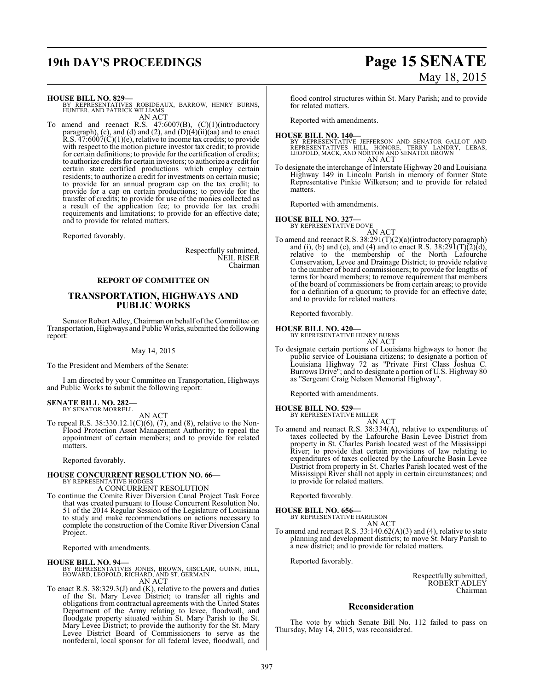# **19th DAY'S PROCEEDINGS Page 15 SENATE** May 18, 2015

**HOUSE BILL NO. 829—**

BY REPRESENTATIVES ROBIDEAUX, BARROW, HENRY BURNS, HUNTER, AND PATRICK WILLIAMS AN ACT

To amend and reenact R.S. 47:6007(B), (C)(1)(introductory paragraph), (c), and (d) and (2), and  $(D)(4)(ii)(aa)$  and to enact R.S.  $47:6007(\text{C})(1)(\text{e})$ , relative to income tax credits; to provide with respect to the motion picture investor tax credit; to provide for certain definitions; to provide for the certification of credits; to authorize credits for certain investors; to authorize a credit for certain state certified productions which employ certain residents; to authorize a credit for investments on certain music; to provide for an annual program cap on the tax credit; to provide for a cap on certain productions; to provide for the transfer of credits; to provide for use of the monies collected as a result of the application fee; to provide for tax credit requirements and limitations; to provide for an effective date; and to provide for related matters.

Reported favorably.

Respectfully submitted, NEIL RISER Chairman

#### **REPORT OF COMMITTEE ON**

#### **TRANSPORTATION, HIGHWAYS AND PUBLIC WORKS**

Senator Robert Adley, Chairman on behalf of the Committee on Transportation, Highways and Public Works, submitted the following report:

#### May 14, 2015

To the President and Members of the Senate:

I am directed by your Committee on Transportation, Highways and Public Works to submit the following report:

#### **SENATE BILL NO. 282—** BY SENATOR MORRELL

AN ACT

To repeal R.S. 38:330.12.1(C)(6), (7), and (8), relative to the Non-Flood Protection Asset Management Authority; to repeal the appointment of certain members; and to provide for related matters.

Reported favorably.

### **HOUSE CONCURRENT RESOLUTION NO. 66—** BY REPRESENTATIVE HODGES

A CONCURRENT RESOLUTION

To continue the Comite River Diversion Canal Project Task Force that was created pursuant to House Concurrent Resolution No. 51 of the 2014 Regular Session of the Legislature of Louisiana to study and make recommendations on actions necessary to complete the construction of the Comite River Diversion Canal Project.

Reported with amendments.

#### **HOUSE BILL NO. 94—**

BY REPRESENTATIVES JONES, BROWN, GISCLAIR, GUINN, HILL, HOWARD, LEOPOLD, RICHARD, AND ST. GERMAIN AN ACT

To enact R.S. 38:329.3(J) and (K), relative to the powers and duties of the St. Mary Levee District; to transfer all rights and obligations from contractual agreements with the United States Department of the Army relating to levee, floodwall, and floodgate property situated within St. Mary Parish to the St. Mary Levee District; to provide the authority for the St. Mary Levee District Board of Commissioners to serve as the nonfederal, local sponsor for all federal levee, floodwall, and flood control structures within St. Mary Parish; and to provide for related matters.

Reported with amendments.

**HOUSE BILL NO. 140—**<br>BY REPRESENTATIVE JEFFERSON AND SENATOR GALLOT AND<br>REPRESENTATIVES HILL, HONORE, TERRY LANDRY, LEBAS,<br>LEOPOLD, MACK, AND NORTON AND SENATOR BROWN AN ACT

To designate the interchange of Interstate Highway 20 and Louisiana Highway 149 in Lincoln Parish in memory of former State Representative Pinkie Wilkerson; and to provide for related matters.

Reported with amendments.

#### **HOUSE BILL NO. 327—** BY REPRESENTATIVE DOVE

AN ACT

To amend and reenact R.S. 38:291(T)(2)(a)(introductory paragraph) and (i), (b) and (c), and (4) and to enact R.S.  $38:291(T)(2)(d)$ , relative to the membership of the North Lafourche Conservation, Levee and Drainage District; to provide relative to the number of board commissioners; to provide for lengths of terms for board members; to remove requirement that members of the board of commissioners be from certain areas; to provide for a definition of a quorum; to provide for an effective date; and to provide for related matters.

Reported favorably.

#### **HOUSE BILL NO. 420—**

BY REPRESENTATIVE HENRY BURNS AN ACT

To designate certain portions of Louisiana highways to honor the public service of Louisiana citizens; to designate a portion of Louisiana Highway 72 as "Private First Class Joshua C. Burrows Drive"; and to designate a portion of U.S. Highway 80 as "Sergeant Craig Nelson Memorial Highway".

Reported with amendments.

# **HOUSE BILL NO. 529—** BY REPRESENTATIVE MILLER

AN ACT To amend and reenact R.S. 38:334(A), relative to expenditures of taxes collected by the Lafourche Basin Levee District from property in St. Charles Parish located west of the Mississippi River; to provide that certain provisions of law relating to expenditures of taxes collected by the Lafourche Basin Levee District from property in St. Charles Parish located west of the Mississippi River shall not apply in certain circumstances; and to provide for related matters.

Reported favorably.

#### **HOUSE BILL NO. 656—**

BY REPRESENTATIVE HARRISON AN ACT

To amend and reenact R.S. 33:140.62(A)(3) and (4), relative to state planning and development districts; to move St. Mary Parish to a new district; and to provide for related matters.

Reported favorably.

Respectfully submitted, ROBERT ADLEY Chairman

#### **Reconsideration**

The vote by which Senate Bill No. 112 failed to pass on Thursday, May 14, 2015, was reconsidered.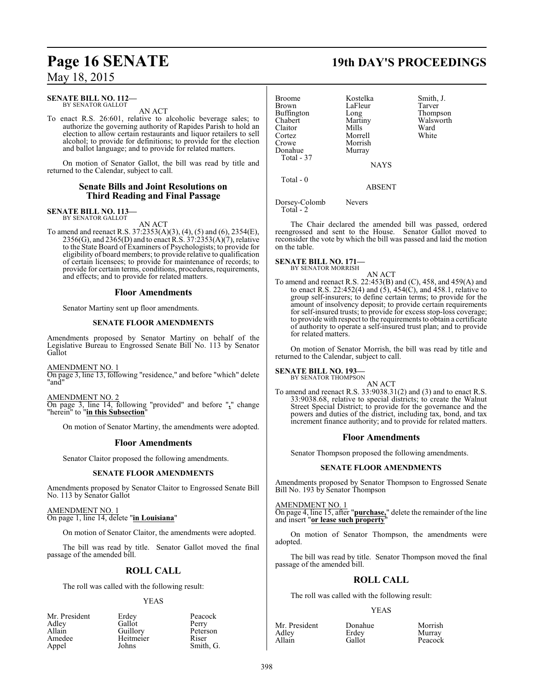### May 18, 2015

#### **SENATE BILL NO. 112—** BY SENATOR GALLOT

AN ACT

To enact R.S. 26:601, relative to alcoholic beverage sales; to authorize the governing authority of Rapides Parish to hold an election to allow certain restaurants and liquor retailers to sell alcohol; to provide for definitions; to provide for the election and ballot language; and to provide for related matters.

On motion of Senator Gallot, the bill was read by title and returned to the Calendar, subject to call.

### **Senate Bills and Joint Resolutions on Third Reading and Final Passage**

### **SENATE BILL NO. 113—** BY SENATOR GALLOT

AN ACT

To amend and reenact R.S. 37:2353(A)(3), (4), (5) and (6), 2354(E), 2356(G), and 2365(D) and to enact R.S. 37:2353(A)(7), relative to the State Board of Examiners of Psychologists; to provide for eligibility of board members; to provide relative to qualification of certain licensees; to provide for maintenance of records; to provide for certain terms, conditions, procedures, requirements, and effects; and to provide for related matters.

### **Floor Amendments**

Senator Martiny sent up floor amendments.

#### **SENATE FLOOR AMENDMENTS**

Amendments proposed by Senator Martiny on behalf of the Legislative Bureau to Engrossed Senate Bill No. 113 by Senator Gallot

#### AMENDMENT NO. 1

On page 3, line 13, following "residence," and before "which" delete "and"

### AMENDMENT NO. 2

On page 3, line 14, following "provided" and before "**,**" change "herein" to "**in this Subsection**"

On motion of Senator Martiny, the amendments were adopted.

### **Floor Amendments**

Senator Claitor proposed the following amendments.

#### **SENATE FLOOR AMENDMENTS**

Amendments proposed by Senator Claitor to Engrossed Senate Bill No. 113 by Senator Gallot

#### AMENDMENT NO. 1 On page 1, line 14, delete "**in Louisiana**"

On motion of Senator Claitor, the amendments were adopted.

The bill was read by title. Senator Gallot moved the final passage of the amended bill.

### **ROLL CALL**

The roll was called with the following result:

#### YEAS

| Mr. President | Erdey     | Peacock   |
|---------------|-----------|-----------|
| Adley         | Gallot    | Perry     |
| Allain        | Guillory  | Peterson  |
| Amedee        | Heitmeier | Riser     |
| Appel         | Johns     | Smith, G. |

Broome Kostelka Smith, J. Brown LaFleur<br>Buffington Long Buffington Long Thompson<br>Chabert Martiny Walsworth Claitor Mills Ward<br>Cortez Morrell White Cortez Morrell<br>Crowe Morrish Morrish Donahue Murray Total - 37

Martiny Walsworth<br>Mills Ward

NAYS

ABSENT

Dorsey-Colomb Nevers Total - 2

Total - 0

The Chair declared the amended bill was passed, ordered reengrossed and sent to the House. Senator Gallot moved to reconsider the vote by which the bill was passed and laid the motion on the table.

#### **SENATE BILL NO. 171—** BY SENATOR MORRISH

AN ACT

To amend and reenact R.S. 22:453(B) and (C), 458, and 459(A) and to enact R.S. 22:452(4) and  $(5)$ , 454(C), and 458.1, relative to group self-insurers; to define certain terms; to provide for the amount of insolvency deposit; to provide certain requirements for self-insured trusts; to provide for excess stop-loss coverage; to provide with respect to the requirements to obtain a certificate of authority to operate a self-insured trust plan; and to provide for related matters.

On motion of Senator Morrish, the bill was read by title and returned to the Calendar, subject to call.

### **SENATE BILL NO. 193—**<br>BY SENATOR THOMPSON

AN ACT To amend and reenact R.S. 33:9038.31(2) and (3) and to enact R.S. 33:9038.68, relative to special districts; to create the Walnut Street Special District; to provide for the governance and the powers and duties of the district, including tax, bond, and tax increment finance authority; and to provide for related matters.

#### **Floor Amendments**

Senator Thompson proposed the following amendments.

#### **SENATE FLOOR AMENDMENTS**

Amendments proposed by Senator Thompson to Engrossed Senate Bill No. 193 by Senator Thompson

AMENDMENT NO. 1

On page 4, line 15, after "**purchase,**" delete the remainder of the line and insert "**or lease such property**"

On motion of Senator Thompson, the amendments were adopted.

The bill was read by title. Senator Thompson moved the final passage of the amended bill.

### **ROLL CALL**

The roll was called with the following result:

#### YEAS

| Mr. President | Donahue | Morrish |
|---------------|---------|---------|
| Adley         | Erdey   | Murray  |
| Allain        | Gallot  | Peacock |

398

# **Page 16 SENATE 19th DAY'S PROCEEDINGS**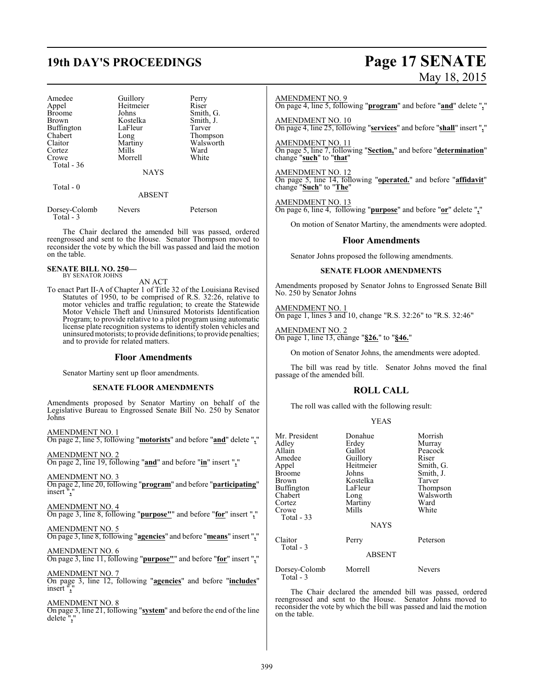# **19th DAY'S PROCEEDINGS Page 17 SENATE**

| Amedee        | Guillory    | Perry     |
|---------------|-------------|-----------|
| Appel         | Heitmeier   | Riser     |
| <b>Broome</b> | Johns       | Smith, G. |
| Brown         | Kostelka    | Smith, J. |
| Buffington    | LaFleur     | Tarver    |
| Chabert       | Long        | Thompson  |
| Claitor       | Martiny     | Walsworth |
| Cortez        | Mills       | Ward      |
| Crowe         | Morrell     | White     |
| Total $-36$   |             |           |
|               | <b>NAYS</b> |           |
| Total - 0     |             |           |

### ABSENT

| Dorsey-Colomb | <b>Nevers</b> | Peterson |
|---------------|---------------|----------|
| Total $-3$    |               |          |

The Chair declared the amended bill was passed, ordered reengrossed and sent to the House. Senator Thompson moved to reconsider the vote by which the bill was passed and laid the motion on the table.

#### **SENATE BILL NO. 250—** BY SENATOR JOHNS

AN ACT

To enact Part II-A of Chapter 1 of Title 32 of the Louisiana Revised Statutes of 1950, to be comprised of R.S. 32:26, relative to motor vehicles and traffic regulation; to create the Statewide Motor Vehicle Theft and Uninsured Motorists Identification Program; to provide relative to a pilot program using automatic license plate recognition systems to identify stolen vehicles and uninsuredmotorists; to provide definitions; to provide penalties; and to provide for related matters.

#### **Floor Amendments**

Senator Martiny sent up floor amendments.

#### **SENATE FLOOR AMENDMENTS**

Amendments proposed by Senator Martiny on behalf of the Legislative Bureau to Engrossed Senate Bill No. 250 by Senator Johns

| AMENDMENT NO. 1                                                                        |  |  |
|----------------------------------------------------------------------------------------|--|--|
| On page 2, line 5, following " <b>motorists</b> " and before " <b>and</b> " delete "," |  |  |
|                                                                                        |  |  |

AMENDMENT NO. 2 On page 2, line 19, following "**and**" and before "**in**" insert "**,**"

AMENDMENT NO. 3

On page 2, line 20, following "**program**" and before "**participating**" insert "**,**"

AMENDMENT NO. 4 On page 3, line 8, following "**purpose"**" and before "**for**" insert "**,**"

AMENDMENT NO. 5 On page 3, line 8, following "**agencies**" and before "**means**" insert "**,**"

AMENDMENT NO. 6 On page 3, line 11, following "**purpose"**" and before "**for**" insert "**,**"

### AMENDMENT NO. 7

On page 3, line 12, following "**agencies**" and before "**includes**" insert "**,**"

#### AMENDMENT NO. 8

On page 3, line 21, following "**system**" and before the end of the line delete "**,**"

# May 18, 2015

#### AMENDMENT NO. 9

On page 4, line 5, following "**program**" and before "**and**" delete "**,**"

AMENDMENT NO. 10 On page 4, line 25, following "**services**" and before "**shall**" insert "**,**"

#### AMENDMENT NO. 11

On page 5, line 7, following "**Section,**" and before "**determination**" change "**such**" to "**that**"

#### AMENDMENT NO. 12

On page 5, line 14, following "**operated.**" and before "**affidavit**" change "**Such**" to "**The**"

AMENDMENT NO. 13

On page 6, line 4, following "**purpose**" and before "**or**" delete "**,**"

On motion of Senator Martiny, the amendments were adopted.

#### **Floor Amendments**

Senator Johns proposed the following amendments.

#### **SENATE FLOOR AMENDMENTS**

Amendments proposed by Senator Johns to Engrossed Senate Bill No. 250 by Senator Johns

AMENDMENT NO. 1 On page 1, lines 3 and 10, change "R.S. 32:26" to "R.S. 32:46"

AMENDMENT NO. 2 On page 1, line 13, change "**§26.**" to "**§46.**"

On motion of Senator Johns, the amendments were adopted.

The bill was read by title. Senator Johns moved the final passage of the amended bill.

### **ROLL CALL**

The roll was called with the following result:

#### YEAS

| Mr. President<br>Adley<br>Allain<br>Amedee<br>Appel<br><b>Broome</b><br>Brown<br>Buffington<br>Chabert<br>Cortez<br>Crowe<br>Total - 33 | Donahue<br>Erdey<br>Gallot<br>Guillory<br>Heitmeier<br>Johns<br>Kostelka<br>LaFleur<br>Long<br>Martiny<br>Mills | Morrish<br>Murray<br>Peacock<br>Riser<br>Smith, G.<br>Smith, J.<br>Tarver<br>Thompson<br>Walsworth<br>Ward<br>White |
|-----------------------------------------------------------------------------------------------------------------------------------------|-----------------------------------------------------------------------------------------------------------------|---------------------------------------------------------------------------------------------------------------------|
|                                                                                                                                         | <b>NAYS</b>                                                                                                     |                                                                                                                     |
| Claitor<br>Total - 3                                                                                                                    | Perry                                                                                                           | Peterson                                                                                                            |
|                                                                                                                                         | <b>ABSENT</b>                                                                                                   |                                                                                                                     |
| Dorsey-Colomb<br>Total - 3                                                                                                              | Morrell                                                                                                         | <b>Nevers</b>                                                                                                       |

The Chair declared the amended bill was passed, ordered reengrossed and sent to the House. Senator Johns moved to reconsider the vote by which the bill was passed and laid the motion on the table.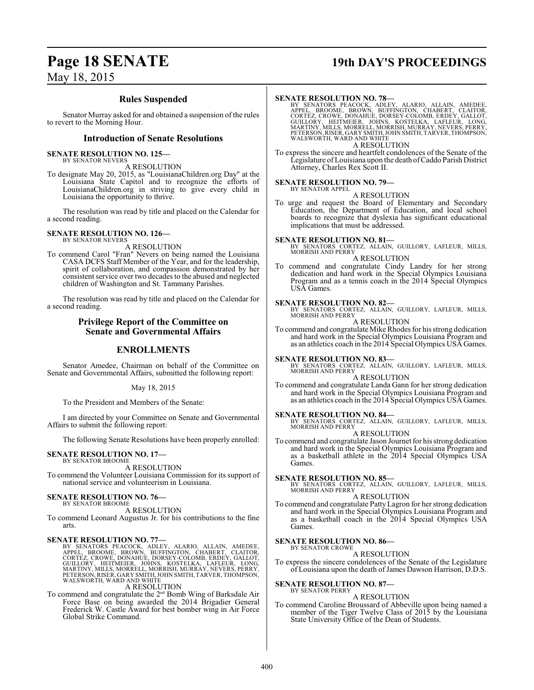## **Page 18 SENATE 19th DAY'S PROCEEDINGS**

May 18, 2015

### **Rules Suspended**

Senator Murray asked for and obtained a suspension of the rules to revert to the Morning Hour.

#### **Introduction of Senate Resolutions**

#### **SENATE RESOLUTION NO. 125—** BY SENATOR NEVERS

A RESOLUTION

To designate May 20, 2015, as "LouisianaChildren.org Day" at the Louisiana State Capitol and to recognize the efforts of LouisianaChildren.org in striving to give every child in Louisiana the opportunity to thrive.

The resolution was read by title and placed on the Calendar for a second reading.

#### **SENATE RESOLUTION NO. 126—** BY SENATOR NEVERS

A RESOLUTION

To commend Carol "Fran" Nevers on being named the Louisiana CASA DCFS Staff Member of the Year, and for the leadership, spirit of collaboration, and compassion demonstrated by her consistent service over two decades to the abused and neglected children of Washington and St. Tammany Parishes.

The resolution was read by title and placed on the Calendar for a second reading.

#### **Privilege Report of the Committee on Senate and Governmental Affairs**

### **ENROLLMENTS**

Senator Amedee, Chairman on behalf of the Committee on Senate and Governmental Affairs, submitted the following report:

May 18, 2015

To the President and Members of the Senate:

I am directed by your Committee on Senate and Governmental Affairs to submit the following report:

The following Senate Resolutions have been properly enrolled:

#### **SENATE RESOLUTION NO. 17—**

BY SENATOR BROOME A RESOLUTION

To commend the Volunteer Louisiana Commission for its support of national service and volunteerism in Louisiana.

#### **SENATE RESOLUTION NO. 76—** BY SENATOR BROOME

A RESOLUTION

To commend Leonard Augustus Jr. for his contributions to the fine arts.

#### **SENATE RESOLUTION NO. 77—**

BY SENATORS PEACOCK, ADLEY, ALARIO, ALLAIN, AMEDEE, BROOME, BROWN, BUFFINGTON, CHABERT, CLAITOR, CORTÉZ, CROWE, DONAHUE, DORSEY-COLOMB, ERDEY, GALLOT,<br>CORTÉZ, CROWE, DONAHUE, DORSEY-COLOMB, ERDEY, GALLOT,<br>GUILLORY, HEITMEI

To commend and congratulate the 2<sup>nd</sup> Bomb Wing of Barksdale Air Force Base on being awarded the 2014 Brigadier General Frederick W. Castle Award for best bomber wing in Air Force Global Strike Command.

#### **SENATE RESOLUTION NO. 78—**

BY SENATORS PEACOCK, ADLEY, ALARIO, ALLAIN, AMEDEE,<br>APPEL, BROOME, BROWN, BUFFINGTON, CHABERT, CLAITOR,<br>CORTEZ, CROWE, DONAHUE, DORSEY-COLOMB, ERDEY, GALLOT,<br>GUILLORY, HEITMEIER, JOHNS, KOSTELKA, LAFLEUR, LONG,<br>MARTINY, MI A RESOLUTION

To express the sincere and heartfelt condolences of the Senate of the Legislature ofLouisiana upon the death ofCaddo Parish District Attorney, Charles Rex Scott II.

#### **SENATE RESOLUTION NO. 79—** BY SENATOR APPEL

A RESOLUTION

To urge and request the Board of Elementary and Secondary Education, the Department of Education, and local school boards to recognize that dyslexia has significant educational implications that must be addressed.

**SENATE RESOLUTION NO. 81—**<br>BY SENATORS CORTEZ, ALLAIN, GUILLORY, LAFLEUR, MILLS,<br>MORRISH AND PERRY A RESOLUTION

To commend and congratulate Cindy Landry for her strong dedication and hard work in the Special Olympics Louisiana Program and as a tennis coach in the 2014 Special Olympics USA Games.

#### **SENATE RESOLUTION NO. 82—**

BY SENATORS CORTEZ, ALLAIN, GUILLORY, LAFLEUR, MILLS, MORRISH AND PERRY

A RESOLUTION To commend and congratulate Mike Rhodes for his strong dedication and hard work in the Special Olympics Louisiana Program and as an athletics coach in the 2014 Special Olympics USA Games.

**SENATE RESOLUTION NO. 83—**

BY SENATORS CORTEZ, ALLAIN, GUILLORY, LAFLEUR, MILLS, MORRISH AND PERRY A RESOLUTION

To commend and congratulate Landa Gann for her strong dedication and hard work in the Special Olympics Louisiana Program and as an athletics coach in the 2014 Special Olympics USA Games.

**SENATE RESOLUTION NO. 84—** BY SENATORS CORTEZ, ALLAIN, GUILLORY, LAFLEUR, MILLS, MORRISH AND PERRY A RESOLUTION

To commend and congratulate Jason Journet for his strong dedication and hard work in the Special Olympics Louisiana Program and as a basketball athlete in the 2014 Special Olympics USA Games.

#### **SENATE RESOLUTION NO. 85—**

BY SENATORS CORTEZ, ALLAIN, GUILLORY, LAFLEUR, MILLS, MORRISH AND PERRY A RESOLUTION

To commend and congratulate Patty Lagron for her strong dedication and hard work in the Special Olympics Louisiana Program and as a basketball coach in the 2014 Special Olympics USA Games.

#### **SENATE RESOLUTION NO. 86—** BY SENATOR CROWE

A RESOLUTION

To express the sincere condolences of the Senate of the Legislature of Louisiana upon the death of James Dawson Harrison, D.D.S.

#### **SENATE RESOLUTION NO. 87—**

BY SENATOR PERRY

A RESOLUTION To commend Caroline Broussard of Abbeville upon being named a member of the Tiger Twelve Class of 2015 by the Louisiana State University Office of the Dean of Students.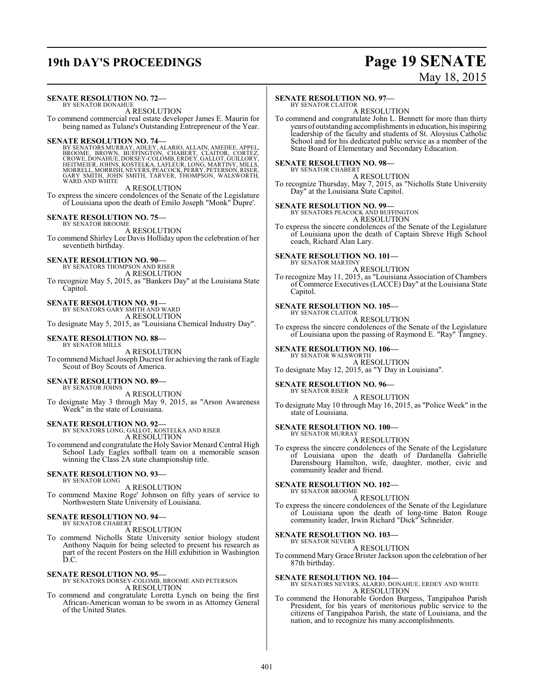# **19th DAY'S PROCEEDINGS Page 19 SENATE**

# May 18, 2015

#### **SENATE RESOLUTION NO. 72—** BY SENATOR DONAHUE

A RESOLUTION To commend commercial real estate developer James E. Maurin for being named as Tulane's Outstanding Entrepreneur of the Year.

**SENATE RESOLUTION NO. 74—**<br>BY SENATORS MURRAY, ADLEY, ALARIO, ALLAIN, AMEDEE, APPEL,<br>BROOME, BROWN, BUFFINGTON, CHABERT, CLAITOR, CORTEZ,<br>CROWE, DONAHUE, DORSEY-COLOMB, ERDEY, GALLOT, GUILLORY, HEITMEIER, JOHNS, KOSTELKA, LAFLEUR, LONG, MARTINY, MILLS,<br>MORRELL, MORRISH, NEVERS, PEACOCK, PERRY, PETERSON, RISER,<br>GARY SMITH, JOHN SMITH, TARVER, THOMPSON, WALSWORTH, WARD AND WHITE

#### A RESOLUTION

To express the sincere condolences of the Senate of the Legislature of Louisiana upon the death of Emilo Joseph "Monk" Dupre'.

#### **SENATE RESOLUTION NO. 75—**

BY SENATOR BROOME A RESOLUTION

To commend Shirley Lee Davis Holliday upon the celebration of her seventieth birthday.

**SENATE RESOLUTION NO. 90—** BY SENATORS THOMPSON AND RISER

A RESOLUTION To recognize May 5, 2015, as "Bankers Day" at the Louisiana State Capitol.

#### **SENATE RESOLUTION NO. 91—**

BY SENATORS GARY SMITH AND WARD

A RESOLUTION To designate May 5, 2015, as "Louisiana Chemical Industry Day".

#### **SENATE RESOLUTION NO. 88—** BY SENATOR MILLS

A RESOLUTION To commend Michael Joseph Ducrest for achieving the rank of Eagle Scout of Boy Scouts of America.

#### **SENATE RESOLUTION NO. 89—**

BY SENATOR JOHNS A RESOLUTION To designate May 3 through May 9, 2015, as "Arson Awareness Week" in the state of Louisiana.

**SENATE RESOLUTION NO. 92—** BY SENATORS LONG, GALLOT, KOSTELKA AND RISER A RESOLUTION

To commend and congratulate the Holy Savior Menard Central High School Lady Eagles softball team on a memorable season winning the Class 2A state championship title.

#### **SENATE RESOLUTION NO. 93—** BY SENATOR LONG

A RESOLUTION

To commend Maxine Roge' Johnson on fifty years of service to Northwestern State University of Louisiana.

#### **SENATE RESOLUTION NO. 94—** BY SENATOR CHABERT

A RESOLUTION

To commend Nicholls State University senior biology student Anthony Naquin for being selected to present his research as part of the recent Posters on the Hill exhibition in Washington D.C.

**SENATE RESOLUTION NO. 95—** BY SENATORS DORSEY-COLOMB, BROOME AND PETERSON A RESOLUTION

To commend and congratulate Loretta Lynch on being the first African-American woman to be sworn in as Attorney General of the United States.

#### **SENATE RESOLUTION NO. 97—**

BY SENATOR CLAITOR A RESOLUTION

To commend and congratulate John L. Bennett for more than thirty years of outstanding accomplishments in education, hisinspiring leadership of the faculty and students of St. Aloysius Catholic School and for his dedicated public service as a member of the State Board of Elementary and Secondary Education.

#### **SENATE RESOLUTION NO. 98—**

BY SENATOR CHABERT A RESOLUTION

To recognize Thursday, May 7, 2015, as "Nicholls State University Day" at the Louisiana State Capitol.

# **SENATE RESOLUTION NO. 99—** BY SENATORS PEACOCK AND BUFFINGTON

A RESOLUTION

To express the sincere condolences of the Senate of the Legislature of Louisiana upon the death of Captain Shreve High School coach, Richard Alan Lary.

#### **SENATE RESOLUTION NO. 101—** BY SENATOR MARTINY

A RESOLUTION

To recognize May 11, 2015, as "Louisiana Association of Chambers of Commerce Executives (LACCE) Day" at the Louisiana State Capitol.

#### **SENATE RESOLUTION NO. 105—** BY SENATOR CLAITOR

A RESOLUTION

To express the sincere condolences of the Senate of the Legislature of Louisiana upon the passing of Raymond E. "Ray" Tangney.

#### **SENATE RESOLUTION NO. 106-**

BY SENATOR WALSWORTH

A RESOLUTION To designate May 12, 2015, as "Y Day in Louisiana".

### **SENATE RESOLUTION NO. 96—**

BY SENATOR RISER A RESOLUTION

To designate May 10 through May 16, 2015, as "Police Week" in the state of Louisiana.

#### **SENATE RESOLUTION NO. 100—** BY SENATOR MURRAY

A RESOLUTION

To express the sincere condolences of the Senate of the Legislature of Louisiana upon the death of Dardanella Gabrielle Darensbourg Hamilton, wife, daughter, mother, civic and community leader and friend.

#### **SENATE RESOLUTION NO. 102—** BY SENATOR BROOME

A RESOLUTION

To express the sincere condolences of the Senate of the Legislature of Louisiana upon the death of long-time Baton Rouge community leader, Irwin Richard "Dick" Schneider.

#### **SENATE RESOLUTION NO. 103—** BY SENATOR NEVERS

#### A RESOLUTION

To commend Mary Grace Brister Jackson upon the celebration of her 87th birthday.

**SENATE RESOLUTION NO. 104—** BY SENATORS NEVERS, ALARIO, DONAHUE, ERDEY AND WHITE A RESOLUTION

To commend the Honorable Gordon Burgess, Tangipahoa Parish President, for his years of meritorious public service to the citizens of Tangipahoa Parish, the state of Louisiana, and the nation, and to recognize his many accomplishments.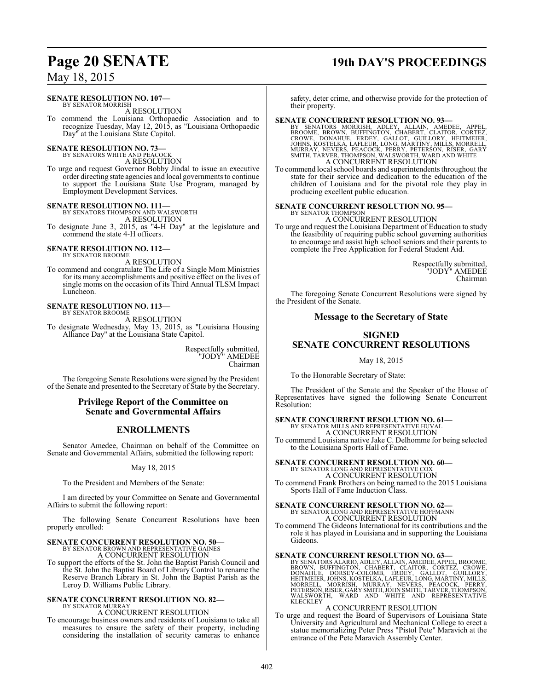### May 18, 2015

#### **SENATE RESOLUTION NO. 107—**

BY SENATOR MORRISH A RESOLUTION

To commend the Louisiana Orthopaedic Association and to recognize Tuesday, May 12, 2015, as "Louisiana Orthopaedic Day" at the Louisiana State Capitol.

# **SENATE RESOLUTION NO. 73—** BY SENATORS WHITE AND PEACOCK

A RESOLUTION

To urge and request Governor Bobby Jindal to issue an executive order directing state agencies and local governments to continue to support the Louisiana State Use Program, managed by Employment Development Services.

# **SENATE RESOLUTION NO. 111—** BY SENATORS THOMPSON AND WALSWORTH

A RESOLUTION

To designate June 3, 2015, as "4-H Day" at the legislature and commend the state 4-H officers.

# **SENATE RESOLUTION NO. 112—** BY SENATOR BROOME

A RESOLUTION

To commend and congratulate The Life of a Single Mom Ministries for its many accomplishments and positive effect on the lives of single moms on the occasion of its Third Annual TLSM Impact Luncheon.

# **SENATE RESOLUTION NO. 113—** BY SENATOR BROOME

A RESOLUTION

To designate Wednesday, May 13, 2015, as "Louisiana Housing Alliance Day" at the Louisiana State Capitol.

> Respectfully submitted, "JODY" AMEDEE Chairman

The foregoing Senate Resolutions were signed by the President of the Senate and presented to the Secretary of State by the Secretary.

#### **Privilege Report of the Committee on Senate and Governmental Affairs**

### **ENROLLMENTS**

Senator Amedee, Chairman on behalf of the Committee on Senate and Governmental Affairs, submitted the following report:

May 18, 2015

To the President and Members of the Senate:

I am directed by your Committee on Senate and Governmental Affairs to submit the following report:

The following Senate Concurrent Resolutions have been properly enrolled:

### **SENATE CONCURRENT RESOLUTION NO. 50—**

BY SENATOR BROWN AND REPRESENTATIVE GAINES A CONCURRENT RESOLUTION

To support the efforts of the St. John the Baptist Parish Council and the St. John the Baptist Board of Library Control to rename the Reserve Branch Library in St. John the Baptist Parish as the Leroy D. Williams Public Library.

# **SENATE CONCURRENT RESOLUTION NO. 82—** BY SENATOR MURRAY

A CONCURRENT RESOLUTION

To encourage business owners and residents of Louisiana to take all measures to ensure the safety of their property, including considering the installation of security cameras to enhance

## **Page 20 SENATE 19th DAY'S PROCEEDINGS**

safety, deter crime, and otherwise provide for the protection of their property.

SENATE CONCURRENT RESOLUTION NO. 93-BY SENATORS MORRISH, ADLEY, ALLAIN, AMEDEE, APPEL, BROOME, BROWN, BUFFINGTON, CHABERT, CLAITOR, CORTEZ, CROWE, DONAHUE, ERDEY, GALLOT, GUILLORY, HEITMEIER, JOHNS, KOSTELKA, LAFLEUR, LONG A CONCURRENT RESOLUTION

To commend local school boards and superintendents throughout the state for their service and dedication to the education of the children of Louisiana and for the pivotal role they play in producing excellent public education.

### **SENATE CONCURRENT RESOLUTION NO. 95—**

BY SENATOR THOMPSON A CONCURRENT RESOLUTION

To urge and request the Louisiana Department of Education to study the feasibility of requiring public school governing authorities to encourage and assist high school seniors and their parents to complete the Free Application for Federal Student Aid.

> Respectfully submitted, "JODY" AMEDEE Chairman

The foregoing Senate Concurrent Resolutions were signed by the President of the Senate.

### **Message to the Secretary of State**

### **SIGNED SENATE CONCURRENT RESOLUTIONS**

May 18, 2015

To the Honorable Secretary of State:

The President of the Senate and the Speaker of the House of Representatives have signed the following Senate Concurrent Resolution:

# **SENATE CONCURRENT RESOLUTION NO. 61—**<br>BY SENATOR MILLS AND REPRESENTATIVE HUVAL<br>A CONCURRENT RESOLUTION

To commend Louisiana native Jake C. Delhomme for being selected to the Louisiana Sports Hall of Fame.

# **SENATE CONCURRENT RESOLUTION NO. 60—** BY SENATOR LONG AND REPRESENTATIVE COX

A CONCURRENT RESOLUTION

To commend Frank Brothers on being named to the 2015 Louisiana Sports Hall of Fame Induction Class.

# **SENATE CONCURRENT RESOLUTION NO. 62—** BY SENATOR LONG AND REPRESENTATIVE HOFFMANN

A CONCURRENT RESOLUTION

To commend The Gideons International for its contributions and the role it has played in Louisiana and in supporting the Louisiana Gideons.

**SENATE CONCURRENT RESOLUTION NO. 63**<br>BY SENATORS ALARIO, ADLEY, ALLAIN, AMEDEE, APPEL, BROOME, BROOM, UFFINGTON, CHABERT, CLAITOR, CORTEZ, CROWE,<br>DONAHUE, DORSEY-COLOMB, ERDEY, GALLOT, GUILLORY,<br>HEITMEIER, JOHNS, KOSTELKA KLECKLEY

### A CONCURRENT RESOLUTION

To urge and request the Board of Supervisors of Louisiana State University and Agricultural and Mechanical College to erect a statue memorializing Peter Press "Pistol Pete" Maravich at the entrance of the Pete Maravich Assembly Center.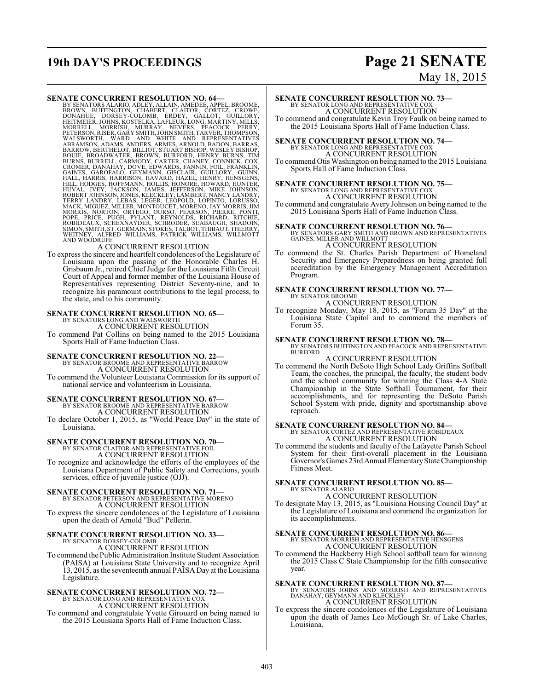# **19th DAY'S PROCEEDINGS Page 21 SENATE**

# May 18, 2015

**SENATE CONCURRENT RESOLUTION NO. 64-**<br>BY SENATORS ALARIO, ADLEY, ALLAIN, AMEDEE, APPEL, BROWNE, BROWN, BUFFINGTON, CHABERT, CLAITOR, CORTEZ, CROWE,<br>DONAHIUE, DORSEY-COLOMB, ERDEY, GALLOT, GUILLORY, MILLORY<br>HEITMEIER, JOHN

To express the sincere and heartfelt condolences of the Legislature of Louisiana upon the passing of the Honorable Charles H. Grisbaum Jr., retired ChiefJudge for the Louisiana Fifth Circuit Court of Appeal and former member of the Louisiana House of Representatives representing District Seventy-nine, and to recognize his paramount contributions to the legal process, to the state, and to his community.

# **SENATE CONCURRENT RESOLUTION NO. 65—** BY SENATORS LONG AND WALSWORTH

A CONCURRENT RESOLUTION To commend Pat Collins on being named to the 2015 Louisiana

Sports Hall of Fame Induction Class.

### **SENATE CONCURRENT RESOLUTION NO. 22—** BY SENATOR BROOME AND REPRESENTATIVE BARROW A CONCURRENT RESOLUTION

To commend the Volunteer Louisiana Commission for its support of national service and volunteerism in Louisiana.

### **SENATE CONCURRENT RESOLUTION NO. 67—** BY SENATOR BROOME AND REPRESENTATIVE BARROW A CONCURRENT RESOLUTION

To declare October 1, 2015, as "World Peace Day" in the state of Louisiana.

### **SENATE CONCURRENT RESOLUTION NO. 70—**

BY SENATOR CLAITOR AND REPRESENTATIVE FOIL A CONCURRENT RESOLUTION

To recognize and acknowledge the efforts of the employees of the Louisiana Department of Public Safety and Corrections, youth services, office of juvenile justice (OJJ).

#### **SENATE CONCURRENT RESOLUTION NO. 71—** BY SENATOR PETERSON AND REPRESENTATIVE MORENO

A CONCURRENT RESOLUTION To express the sincere condolences of the Legislature of Louisiana

upon the death of Arnold "Bud" Pellerin.

# **SENATE CONCURRENT RESOLUTION NO. 33—** BY SENATOR DORSEY-COLOMB

A CONCURRENT RESOLUTION

To commend the Public Administration Institute Student Association (PAISA) at Louisiana State University and to recognize April 13, 2015, as the seventeenth annual PAISA Day at the Louisiana Legislature.

### **SENATE CONCURRENT RESOLUTION NO. 72—** BY SENATOR LONG AND REPRESENTATIVE COX A CONCURRENT RESOLUTION

To commend and congratulate Yvette Girouard on being named to the 2015 Louisiana Sports Hall of Fame Induction Class.

### **SENATE CONCURRENT RESOLUTION NO. 73—**

BY SENATOR LONG AND REPRESENTATIVE COX A CONCURRENT RESOLUTION To commend and congratulate Kevin Troy Faulk on being named to the 2015 Louisiana Sports Hall of Fame Induction Class.

### **SENATE CONCURRENT RESOLUTION NO. 74—** BY SENATOR LONG AND REPRESENTATIVE COX A CONCURRENT RESOLUTION

To commend Otis Washington on being named to the 2015 Louisiana Sports Hall of Fame Induction Class.

### **SENATE CONCURRENT RESOLUTION NO. 75—** BY SENATOR LONG AND REPRESENTATIVE COX A CONCURRENT RESOLUTION

To commend and congratulate Avery Johnson on being named to the 2015 Louisiana Sports Hall of Fame Induction Class.

**SENATE CONCURRENT RESOLUTION NO. 76—**<br>BY SENATORS GARY SMITH AND BROWN AND REPRESENTATIVES<br>GAINES, MILLER AND WILLMOTT A CONCURRENT RESOLUTION

To commend the St. Charles Parish Department of Homeland Security and Emergency Preparedness on being granted full accreditation by the Emergency Management Accreditation Program.

#### **SENATE CONCURRENT RESOLUTION NO. 77—** BY SENATOR BROOME

A CONCURRENT RESOLUTION

To recognize Monday, May 18, 2015, as "Forum 35 Day" at the Louisiana State Capitol and to commend the members of Forum 35.

**SENATE CONCURRENT RESOLUTION NO. 78—**<br>BY SENATORS BUFFINGTON AND PEACOCK AND REPRESENTATIVE<br>BURFORD

#### A CONCURRENT RESOLUTION

To commend the North DeSoto High School Lady Griffins Softball Team, the coaches, the principal, the faculty, the student body and the school community for winning the Class 4-A State Championship in the State Softball Tournament, for their accomplishments, and for representing the DeSoto Parish School System with pride, dignity and sportsmanship above reproach.

### **SENATE CONCURRENT RESOLUTION NO. 84—** BY SENATOR CORTEZ AND REPRESENTATIVE ROBIDEAUX A CONCURRENT RESOLUTION

To commend the students and faculty of the Lafayette Parish School System for their first-overall placement in the Louisiana Governor's Games 23rdAnnualElementaryState Championship Fitness Meet.

#### **SENATE CONCURRENT RESOLUTION NO. 85—** BY SENATOR ALARIO

A CONCURRENT RESOLUTION

To designate May 13, 2015, as "Louisiana Housing Council Day" at the Legislature of Louisiana and commend the organization for its accomplishments.

#### **SENATE CONCURRENT RESOLUTION NO. 86—** BY SENATOR MORRISH AND REPRESENTATIVE HENSGENS

A CONCURRENT RESOLUTION

To commend the Hackberry High School softball team for winning the 2015 Class C State Championship for the fifth consecutive year.

**SENATE CONCURRENT RESOLUTION NO. 87—**<br>BY SENATORS JOHNS AND MORRISH AND REPRESENTATIVES<br>DANAHAY, GEYMANN AND KLECKLEY A CONCURRENT RESOLUTION

To express the sincere condolences of the Legislature of Louisiana upon the death of James Leo McGough Sr. of Lake Charles, Louisiana.